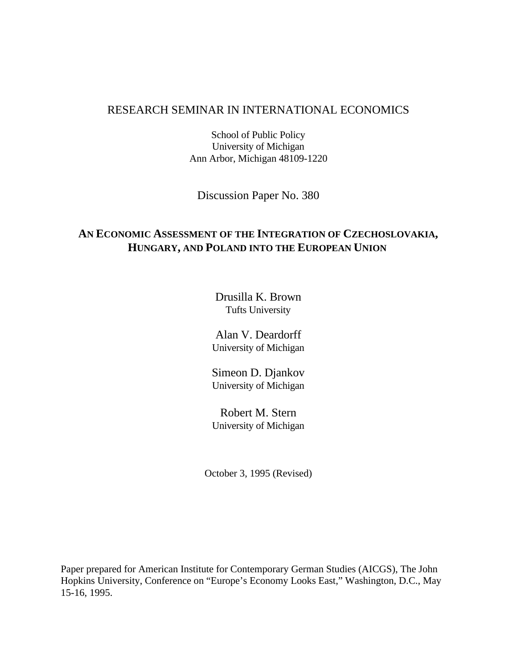# RESEARCH SEMINAR IN INTERNATIONAL ECONOMICS

School of Public Policy University of Michigan Ann Arbor, Michigan 48109-1220

Discussion Paper No. 380

# **AN ECONOMIC ASSESSMENT OF THE INTEGRATION OF CZECHOSLOVAKIA, HUNGARY, AND POLAND INTO THE EUROPEAN UNION**

Drusilla K. Brown Tufts University

Alan V. Deardorff University of Michigan

Simeon D. Djankov University of Michigan

Robert M. Stern University of Michigan

October 3, 1995 (Revised)

Paper prepared for American Institute for Contemporary German Studies (AICGS), The John Hopkins University, Conference on "Europe's Economy Looks East," Washington, D.C., May 15-16, 1995.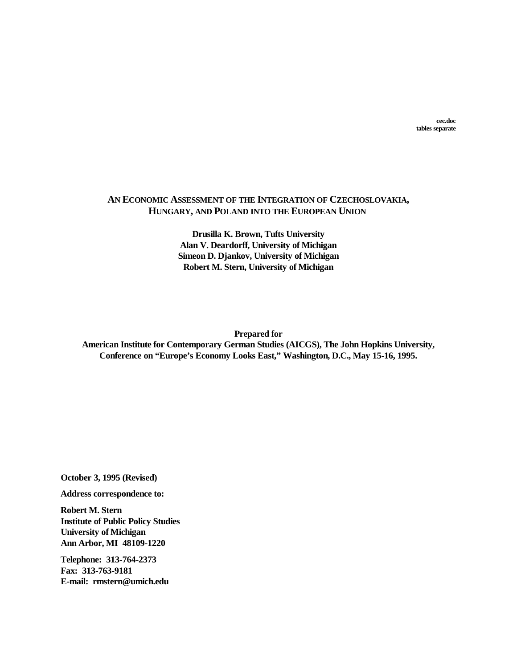**cec.doc tables separate**

### **AN ECONOMIC ASSESSMENT OF THE INTEGRATION OF CZECHOSLOVAKIA, HUNGARY, AND POLAND INTO THE EUROPEAN UNION**

**Drusilla K. Brown, Tufts University Alan V. Deardorff, University of Michigan Simeon D. Djankov, University of Michigan Robert M. Stern, University of Michigan**

**Prepared for**

**American Institute for Contemporary German Studies (AICGS), The John Hopkins University, Conference on "Europe's Economy Looks East," Washington, D.C., May 15-16, 1995.**

**October 3, 1995 (Revised)**

**Address correspondence to:**

**Robert M. Stern Institute of Public Policy Studies University of Michigan Ann Arbor, MI 48109-1220**

**Telephone: 313-764-2373 Fax: 313-763-9181 E-mail: rmstern@umich.edu**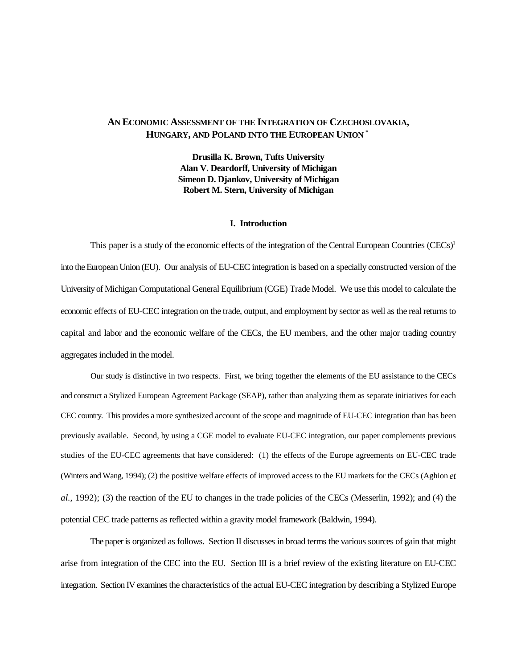# **AN ECONOMIC ASSESSMENT OF THE INTEGRATION OF CZECHOSLOVAKIA, HUNGARY, AND POLAND INTO THE EUROPEAN UNION \***

**Drusilla K. Brown, Tufts University Alan V. Deardorff, University of Michigan Simeon D. Djankov, University of Michigan Robert M. Stern, University of Michigan**

#### **I. Introduction**

This paper is a study of the economic effects of the integration of the Central European Countries (CECs)<sup>1</sup> into the European Union (EU). Our analysis of EU-CEC integration is based on a specially constructed version of the University of Michigan Computational General Equilibrium (CGE) Trade Model. We use this model to calculate the economic effects of EU-CEC integration on the trade, output, and employment by sector as well as the real returns to capital and labor and the economic welfare of the CECs, the EU members, and the other major trading country aggregates included in the model.

Our study is distinctive in two respects. First, we bring together the elements of the EU assistance to the CECs and construct a Stylized European Agreement Package (SEAP), rather than analyzing them as separate initiatives for each CEC country. This provides a more synthesized account of the scope and magnitude of EU-CEC integration than has been previously available. Second, by using a CGE model to evaluate EU-CEC integration, our paper complements previous studies of the EU-CEC agreements that have considered: (1) the effects of the Europe agreements on EU-CEC trade (Winters and Wang, 1994); (2) the positive welfare effects of improved access to the EU markets for the CECs (Aghion *et al.*, 1992); (3) the reaction of the EU to changes in the trade policies of the CECs (Messerlin, 1992); and (4) the potential CEC trade patterns as reflected within a gravity model framework (Baldwin, 1994).

 The paper is organized as follows. Section II discusses in broad terms the various sources of gain that might arise from integration of the CEC into the EU. Section III is a brief review of the existing literature on EU-CEC integration. Section IV examines the characteristics of the actual EU-CEC integration by describing a Stylized Europe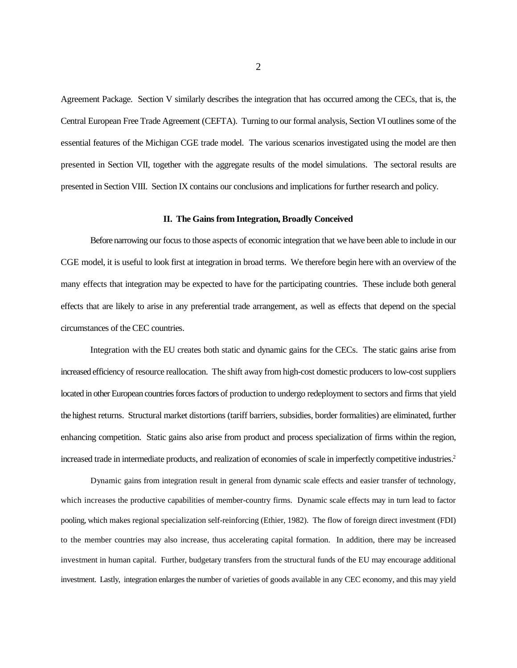Agreement Package. Section V similarly describes the integration that has occurred among the CECs, that is, the Central European Free Trade Agreement (CEFTA). Turning to our formal analysis, Section VI outlines some of the essential features of the Michigan CGE trade model. The various scenarios investigated using the model are then presented in Section VII, together with the aggregate results of the model simulations. The sectoral results are presented in Section VIII. Section IX contains our conclusions and implications for further research and policy.

#### **II. The Gains from Integration, Broadly Conceived**

Before narrowing our focus to those aspects of economic integration that we have been able to include in our CGE model, it is useful to look first at integration in broad terms. We therefore begin here with an overview of the many effects that integration may be expected to have for the participating countries. These include both general effects that are likely to arise in any preferential trade arrangement, as well as effects that depend on the special circumstances of the CEC countries.

Integration with the EU creates both static and dynamic gains for the CECs. The static gains arise from increased efficiency of resource reallocation. The shift away from high-cost domestic producers to low-cost suppliers located in other European countries forces factors of production to undergo redeployment to sectors and firms that yield the highest returns. Structural market distortions (tariff barriers, subsidies, border formalities) are eliminated, further enhancing competition. Static gains also arise from product and process specialization of firms within the region, increased trade in intermediate products, and realization of economies of scale in imperfectly competitive industries.<sup>2</sup>

Dynamic gains from integration result in general from dynamic scale effects and easier transfer of technology, which increases the productive capabilities of member-country firms. Dynamic scale effects may in turn lead to factor pooling, which makes regional specialization self-reinforcing (Ethier, 1982). The flow of foreign direct investment (FDI) to the member countries may also increase, thus accelerating capital formation. In addition, there may be increased investment in human capital. Further, budgetary transfers from the structural funds of the EU may encourage additional investment. Lastly, integration enlarges the number of varieties of goods available in any CEC economy, and this may yield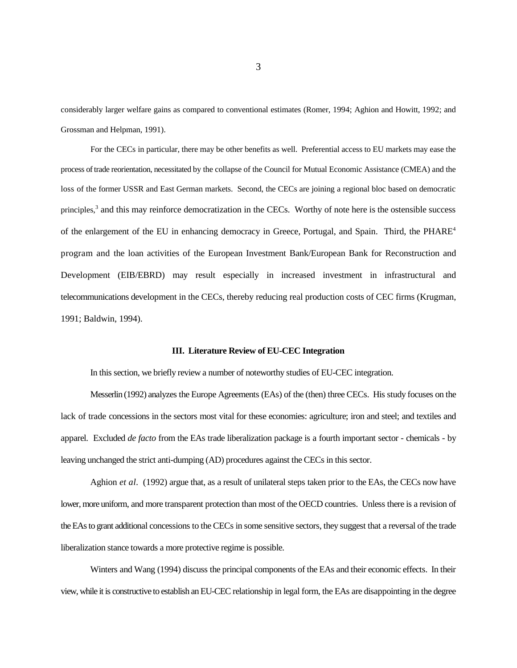considerably larger welfare gains as compared to conventional estimates (Romer, 1994; Aghion and Howitt, 1992; and Grossman and Helpman, 1991).

For the CECs in particular, there may be other benefits as well. Preferential access to EU markets may ease the process of trade reorientation, necessitated by the collapse of the Council for Mutual Economic Assistance (CMEA) and the loss of the former USSR and East German markets. Second, the CECs are joining a regional bloc based on democratic principles,<sup>3</sup> and this may reinforce democratization in the CECs. Worthy of note here is the ostensible success of the enlargement of the EU in enhancing democracy in Greece, Portugal, and Spain. Third, the PHARE<sup>4</sup> program and the loan activities of the European Investment Bank/European Bank for Reconstruction and Development (EIB/EBRD) may result especially in increased investment in infrastructural and telecommunications development in the CECs, thereby reducing real production costs of CEC firms (Krugman, 1991; Baldwin, 1994).

#### **III. Literature Review of EU-CEC Integration**

In this section, we briefly review a number of noteworthy studies of EU-CEC integration.

Messerlin (1992) analyzes the Europe Agreements (EAs) of the (then) three CECs. His study focuses on the lack of trade concessions in the sectors most vital for these economies: agriculture; iron and steel; and textiles and apparel. Excluded *de facto* from the EAs trade liberalization package is a fourth important sector - chemicals - by leaving unchanged the strict anti-dumping (AD) procedures against the CECs in this sector.

Aghion *et al.* (1992) argue that, as a result of unilateral steps taken prior to the EAs, the CECs now have lower, more uniform, and more transparent protection than most of the OECD countries. Unless there is a revision of the EAs to grant additional concessions to the CECs in some sensitive sectors, they suggest that a reversal of the trade liberalization stance towards a more protective regime is possible.

Winters and Wang (1994) discuss the principal components of the EAs and their economic effects. In their view, while it is constructive to establish an EU-CEC relationship in legal form, the EAs are disappointing in the degree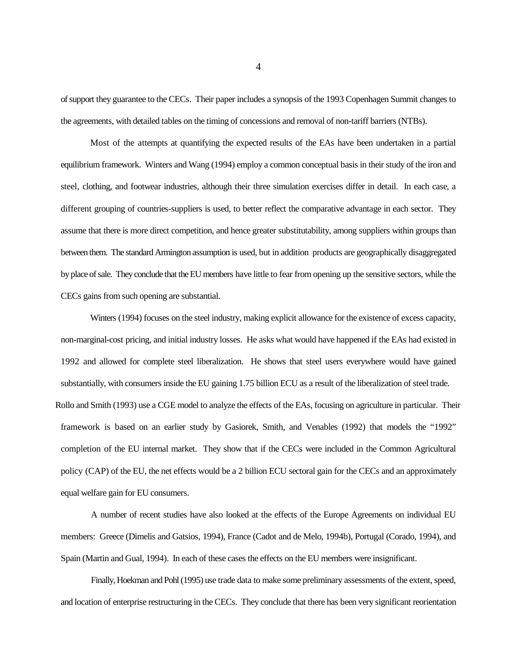of support they guarantee to the CECs. Their paper includes a synopsis of the 1993 Copenhagen Summit changes to the agreements, with detailed tables on the timing of concessions and removal of non-tariff barriers (NTBs).

Most of the attempts at quantifying the expected results of the EAs have been undertaken in a partial equilibrium framework. Winters and Wang (1994) employ a common conceptual basis in their study of the iron and steel, clothing, and footwear industries, although their three simulation exercises differ in detail. In each case, a different grouping of countries-suppliers is used, to better reflect the comparative advantage in each sector. They assume that there is more direct competition, and hence greater substitutability, among suppliers within groups than between them. The standard Armington assumption is used, but in addition products are geographically disaggregated by place of sale. They conclude that the EU members have little to fear from opening up the sensitive sectors, while the CECs gains from such opening are substantial.

Winters (1994) focuses on the steel industry, making explicit allowance for the existence of excess capacity, non-marginal-cost pricing, and initial industry losses. He asks what would have happened if the EAs had existed in 1992 and allowed for complete steel liberalization. He shows that steel users everywhere would have gained substantially, with consumers inside the EU gaining 1.75 billion ECU as a result of the liberalization of steel trade. Rollo and Smith (1993) use a CGE model to analyze the effects of the EAs, focusing on agriculture in particular. Their framework is based on an earlier study by Gasiorek, Smith, and Venables (1992) that models the "1992" completion of the EU internal market. They show that if the CECs were included in the Common Agricultural policy (CAP) of the EU, the net effects would be a 2 billion ECU sectoral gain for the CECs and an approximately equal welfare gain for EU consumers.

A number of recent studies have also looked at the effects of the Europe Agreements on individual EU members: Greece (Dimelis and Gatsios, 1994), France (Cadot and de Melo, 1994b), Portugal (Corado, 1994), and Spain (Martin and Gual, 1994). In each of these cases the effects on the EU members were insignificant.

Finally, Hoekman and Pohl (1995) use trade data to make some preliminary assessments of the extent, speed, and location of enterprise restructuring in the CECs. They conclude that there has been very significant reorientation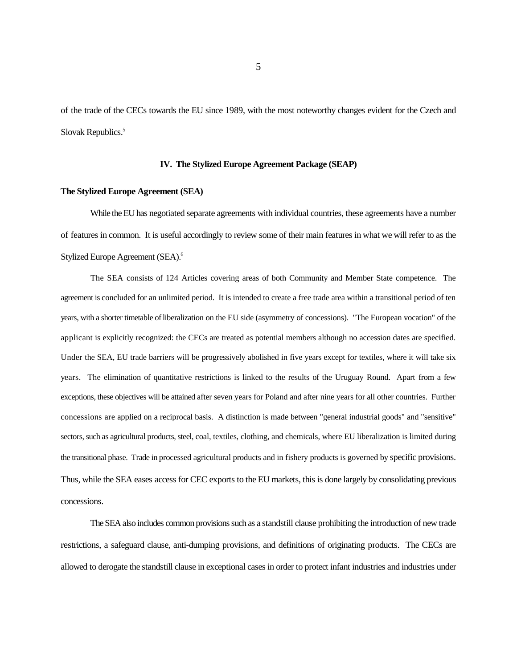of the trade of the CECs towards the EU since 1989, with the most noteworthy changes evident for the Czech and Slovak Republics.<sup>5</sup>

#### **IV. The Stylized Europe Agreement Package (SEAP)**

#### **The Stylized Europe Agreement (SEA)**

While the EU has negotiated separate agreements with individual countries, these agreements have a number of features in common. It is useful accordingly to review some of their main features in what we will refer to as the Stylized Europe Agreement (SEA).<sup>6</sup>

The SEA consists of 124 Articles covering areas of both Community and Member State competence. The agreement is concluded for an unlimited period. It is intended to create a free trade area within a transitional period of ten years, with a shorter timetable of liberalization on the EU side (asymmetry of concessions). "The European vocation" of the applicant is explicitly recognized: the CECs are treated as potential members although no accession dates are specified. Under the SEA, EU trade barriers will be progressively abolished in five years except for textiles, where it will take six years. The elimination of quantitative restrictions is linked to the results of the Uruguay Round. Apart from a few exceptions, these objectives will be attained after seven years for Poland and after nine years for all other countries. Further concessions are applied on a reciprocal basis. A distinction is made between "general industrial goods" and "sensitive" sectors, such as agricultural products, steel, coal, textiles, clothing, and chemicals, where EU liberalization is limited during the transitional phase. Trade in processed agricultural products and in fishery products is governed by specific provisions. Thus, while the SEA eases access for CEC exports to the EU markets, this is done largely by consolidating previous concessions.

The SEA also includes common provisions such as a standstill clause prohibiting the introduction of new trade restrictions, a safeguard clause, anti-dumping provisions, and definitions of originating products. The CECs are allowed to derogate the standstill clause in exceptional cases in order to protect infant industries and industries under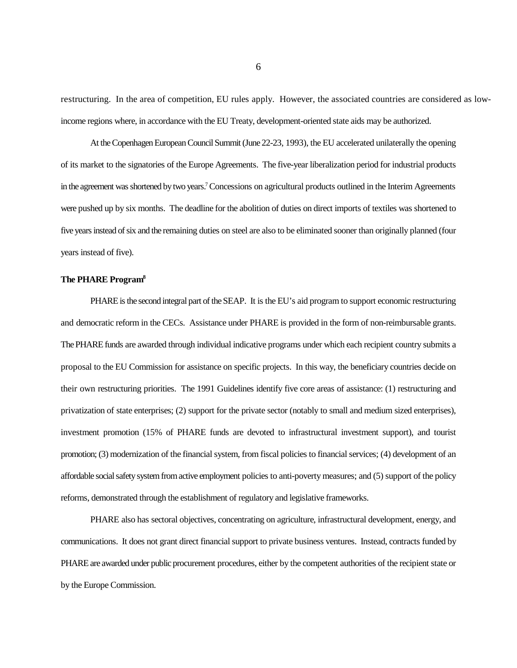restructuring. In the area of competition, EU rules apply. However, the associated countries are considered as lowincome regions where, in accordance with the EU Treaty, development-oriented state aids may be authorized.

At the Copenhagen European Council Summit (June 22-23, 1993), the EU accelerated unilaterally the opening of its market to the signatories of the Europe Agreements. The five-year liberalization period for industrial products in the agreement was shortened by two years.<sup>7</sup> Concessions on agricultural products outlined in the Interim Agreements were pushed up by six months. The deadline for the abolition of duties on direct imports of textiles was shortened to five years instead of six and the remaining duties on steel are also to be eliminated sooner than originally planned (four years instead of five).

#### **The PHARE Program8**

PHARE is the second integral part of the SEAP. It is the EU's aid program to support economic restructuring and democratic reform in the CECs. Assistance under PHARE is provided in the form of non-reimbursable grants. The PHARE funds are awarded through individual indicative programs under which each recipient country submits a proposal to the EU Commission for assistance on specific projects. In this way, the beneficiary countries decide on their own restructuring priorities. The 1991 Guidelines identify five core areas of assistance: (1) restructuring and privatization of state enterprises; (2) support for the private sector (notably to small and medium sized enterprises), investment promotion (15% of PHARE funds are devoted to infrastructural investment support), and tourist promotion; (3) modernization of the financial system, from fiscal policies to financial services; (4) development of an affordable social safety system from active employment policies to anti-poverty measures; and (5) support of the policy reforms, demonstrated through the establishment of regulatory and legislative frameworks.

PHARE also has sectoral objectives, concentrating on agriculture, infrastructural development, energy, and communications. It does not grant direct financial support to private business ventures. Instead, contracts funded by PHARE are awarded under public procurement procedures, either by the competent authorities of the recipient state or by the Europe Commission.

6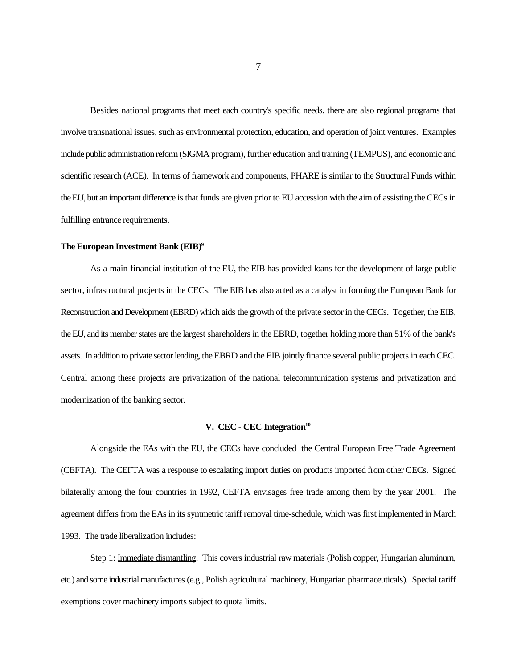Besides national programs that meet each country's specific needs, there are also regional programs that involve transnational issues, such as environmental protection, education, and operation of joint ventures. Examples include public administration reform (SIGMA program), further education and training (TEMPUS), and economic and scientific research (ACE). In terms of framework and components, PHARE is similar to the Structural Funds within the EU, but an important difference is that funds are given prior to EU accession with the aim of assisting the CECs in fulfilling entrance requirements.

#### **The European Investment Bank (EIB)9**

As a main financial institution of the EU, the EIB has provided loans for the development of large public sector, infrastructural projects in the CECs. The EIB has also acted as a catalyst in forming the European Bank for Reconstruction and Development (EBRD) which aids the growth of the private sector in the CECs. Together, the EIB, the EU, and its member states are the largest shareholders in the EBRD, together holding more than 51% of the bank's assets. In addition to private sector lending, the EBRD and the EIB jointly finance several public projects in each CEC. Central among these projects are privatization of the national telecommunication systems and privatization and modernization of the banking sector.

#### **V. CEC - CEC Integration<sup>10</sup>**

Alongside the EAs with the EU, the CECs have concluded the Central European Free Trade Agreement (CEFTA). The CEFTA was a response to escalating import duties on products imported from other CECs. Signed bilaterally among the four countries in 1992, CEFTA envisages free trade among them by the year 2001. The agreement differs from the EAs in its symmetric tariff removal time-schedule, which was first implemented in March 1993. The trade liberalization includes:

Step 1: Immediate dismantling. This covers industrial raw materials (Polish copper, Hungarian aluminum, etc.) and some industrial manufactures (e.g., Polish agricultural machinery, Hungarian pharmaceuticals). Special tariff exemptions cover machinery imports subject to quota limits.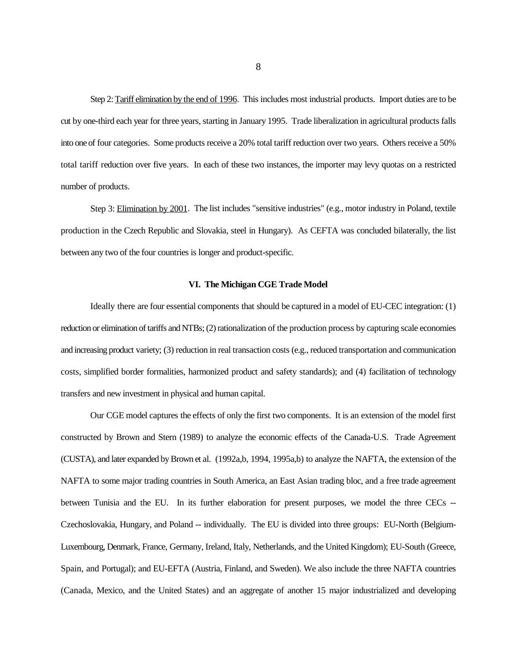Step 2: Tariff elimination by the end of 1996. This includes most industrial products. Import duties are to be cut by one-third each year for three years, starting in January 1995. Trade liberalization in agricultural products falls into one of four categories. Some products receive a 20% total tariff reduction over two years. Others receive a 50% total tariff reduction over five years. In each of these two instances, the importer may levy quotas on a restricted number of products.

Step 3: Elimination by 2001. The list includes "sensitive industries" (e.g., motor industry in Poland, textile production in the Czech Republic and Slovakia, steel in Hungary). As CEFTA was concluded bilaterally, the list between any two of the four countries is longer and product-specific.

#### **VI. The Michigan CGE Trade Model**

Ideally there are four essential components that should be captured in a model of EU-CEC integration: (1) reduction or elimination of tariffs and NTBs; (2) rationalization of the production process by capturing scale economies and increasing product variety; (3) reduction in real transaction costs (e.g., reduced transportation and communication costs, simplified border formalities, harmonized product and safety standards); and (4) facilitation of technology transfers and new investment in physical and human capital.

Our CGE model captures the effects of only the first two components. It is an extension of the model first constructed by Brown and Stern (1989) to analyze the economic effects of the Canada-U.S. Trade Agreement (CUSTA), and later expanded by Brown et al. (1992a,b, 1994, 1995a,b) to analyze the NAFTA, the extension of the NAFTA to some major trading countries in South America, an East Asian trading bloc, and a free trade agreement between Tunisia and the EU. In its further elaboration for present purposes, we model the three CECs -- Czechoslovakia, Hungary, and Poland -- individually. The EU is divided into three groups: EU-North (Belgium-Luxembourg, Denmark, France, Germany, Ireland, Italy, Netherlands, and the United Kingdom); EU-South (Greece, Spain, and Portugal); and EU-EFTA (Austria, Finland, and Sweden). We also include the three NAFTA countries (Canada, Mexico, and the United States) and an aggregate of another 15 major industrialized and developing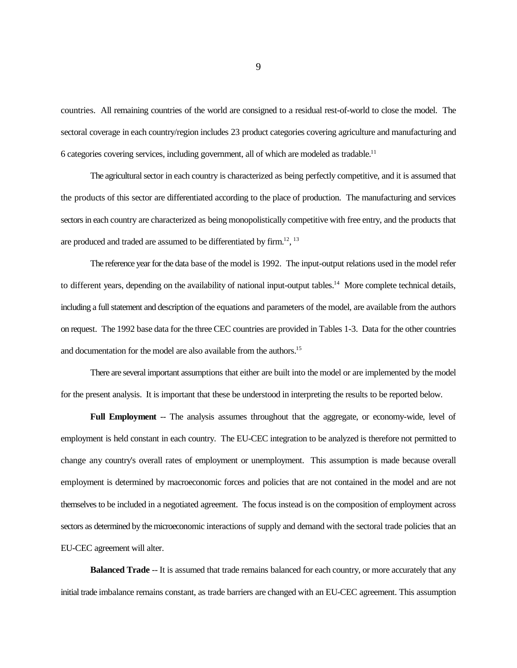countries. All remaining countries of the world are consigned to a residual rest-of-world to close the model. The sectoral coverage in each country/region includes 23 product categories covering agriculture and manufacturing and 6 categories covering services, including government, all of which are modeled as tradable.<sup>11</sup>

The agricultural sector in each country is characterized as being perfectly competitive, and it is assumed that the products of this sector are differentiated according to the place of production. The manufacturing and services sectors in each country are characterized as being monopolistically competitive with free entry, and the products that are produced and traded are assumed to be differentiated by firm.<sup>12</sup>,  $^{13}$ 

The reference year for the data base of the model is 1992. The input-output relations used in the model refer to different years, depending on the availability of national input-output tables.<sup>14</sup> More complete technical details, including a full statement and description of the equations and parameters of the model, are available from the authors on request. The 1992 base data for the three CEC countries are provided in Tables 1-3. Data for the other countries and documentation for the model are also available from the authors.<sup>15</sup>

There are several important assumptions that either are built into the model or are implemented by the model for the present analysis. It is important that these be understood in interpreting the results to be reported below.

**Full Employment** -- The analysis assumes throughout that the aggregate, or economy-wide, level of employment is held constant in each country. The EU-CEC integration to be analyzed is therefore not permitted to change any country's overall rates of employment or unemployment. This assumption is made because overall employment is determined by macroeconomic forces and policies that are not contained in the model and are not themselves to be included in a negotiated agreement. The focus instead is on the composition of employment across sectors as determined by the microeconomic interactions of supply and demand with the sectoral trade policies that an EU-CEC agreement will alter.

**Balanced Trade** -- It is assumed that trade remains balanced for each country, or more accurately that any initial trade imbalance remains constant, as trade barriers are changed with an EU-CEC agreement. This assumption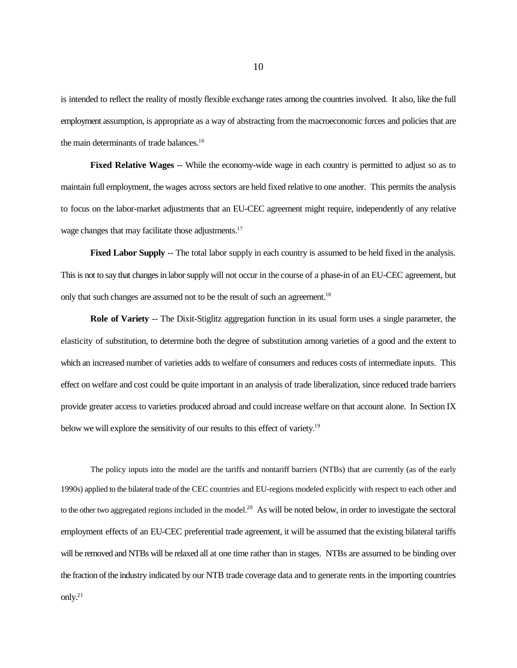is intended to reflect the reality of mostly flexible exchange rates among the countries involved. It also, like the full employment assumption, is appropriate as a way of abstracting from the macroeconomic forces and policies that are the main determinants of trade balances.<sup>16</sup>

**Fixed Relative Wages** -- While the economy-wide wage in each country is permitted to adjust so as to maintain full employment, the wages across sectors are held fixed relative to one another. This permits the analysis to focus on the labor-market adjustments that an EU-CEC agreement might require, independently of any relative wage changes that may facilitate those adjustments.<sup>17</sup>

**Fixed Labor Supply** -- The total labor supply in each country is assumed to be held fixed in the analysis. This is not to say that changes in labor supply will not occur in the course of a phase-in of an EU-CEC agreement, but only that such changes are assumed not to be the result of such an agreement.<sup>18</sup>

**Role of Variety** -- The Dixit-Stiglitz aggregation function in its usual form uses a single parameter, the elasticity of substitution, to determine both the degree of substitution among varieties of a good and the extent to which an increased number of varieties adds to welfare of consumers and reduces costs of intermediate inputs. This effect on welfare and cost could be quite important in an analysis of trade liberalization, since reduced trade barriers provide greater access to varieties produced abroad and could increase welfare on that account alone. In Section IX below we will explore the sensitivity of our results to this effect of variety.<sup>19</sup>

The policy inputs into the model are the tariffs and nontariff barriers (NTBs) that are currently (as of the early 1990s) applied to the bilateral trade of the CEC countries and EU-regions modeled explicitly with respect to each other and to the other two aggregated regions included in the model.<sup>20</sup> As will be noted below, in order to investigate the sectoral employment effects of an EU-CEC preferential trade agreement, it will be assumed that the existing bilateral tariffs will be removed and NTBs will be relaxed all at one time rather than in stages. NTBs are assumed to be binding over the fraction of the industry indicated by our NTB trade coverage data and to generate rents in the importing countries only.21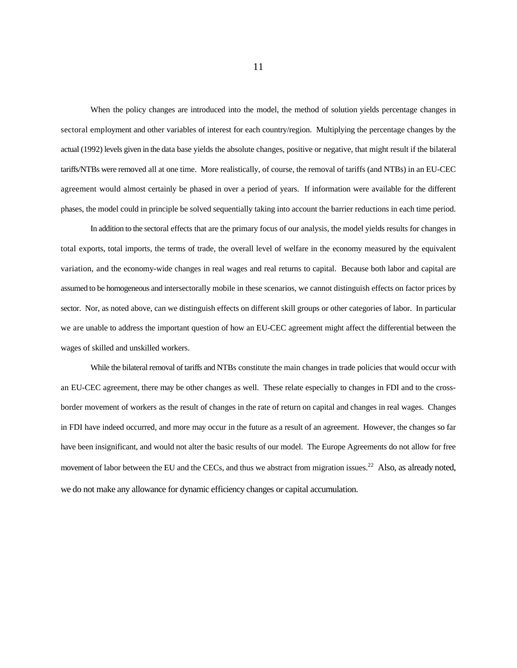When the policy changes are introduced into the model, the method of solution yields percentage changes in sectoral employment and other variables of interest for each country/region. Multiplying the percentage changes by the actual (1992) levels given in the data base yields the absolute changes, positive or negative, that might result if the bilateral tariffs/NTBs were removed all at one time. More realistically, of course, the removal of tariffs (and NTBs) in an EU-CEC agreement would almost certainly be phased in over a period of years. If information were available for the different phases, the model could in principle be solved sequentially taking into account the barrier reductions in each time period.

In addition to the sectoral effects that are the primary focus of our analysis, the model yields results for changes in total exports, total imports, the terms of trade, the overall level of welfare in the economy measured by the equivalent variation, and the economy-wide changes in real wages and real returns to capital. Because both labor and capital are assumed to be homogeneous and intersectorally mobile in these scenarios, we cannot distinguish effects on factor prices by sector. Nor, as noted above, can we distinguish effects on different skill groups or other categories of labor. In particular we are unable to address the important question of how an EU-CEC agreement might affect the differential between the wages of skilled and unskilled workers.

While the bilateral removal of tariffs and NTBs constitute the main changes in trade policies that would occur with an EU-CEC agreement, there may be other changes as well. These relate especially to changes in FDI and to the crossborder movement of workers as the result of changes in the rate of return on capital and changes in real wages. Changes in FDI have indeed occurred, and more may occur in the future as a result of an agreement. However, the changes so far have been insignificant, and would not alter the basic results of our model. The Europe Agreements do not allow for free movement of labor between the EU and the CECs, and thus we abstract from migration issues.<sup>22</sup> Also, as already noted, we do not make any allowance for dynamic efficiency changes or capital accumulation.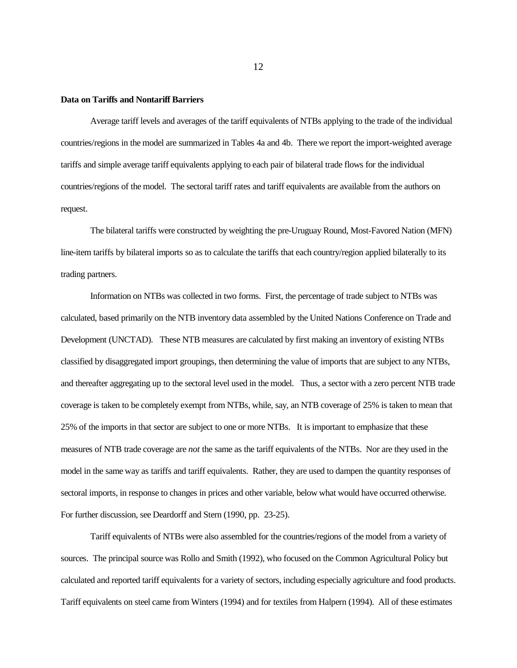#### **Data on Tariffs and Nontariff Barriers**

Average tariff levels and averages of the tariff equivalents of NTBs applying to the trade of the individual countries/regions in the model are summarized in Tables 4a and 4b. There we report the import-weighted average tariffs and simple average tariff equivalents applying to each pair of bilateral trade flows for the individual countries/regions of the model. The sectoral tariff rates and tariff equivalents are available from the authors on request.

The bilateral tariffs were constructed by weighting the pre-Uruguay Round, Most-Favored Nation (MFN) line-item tariffs by bilateral imports so as to calculate the tariffs that each country/region applied bilaterally to its trading partners.

Information on NTBs was collected in two forms. First, the percentage of trade subject to NTBs was calculated, based primarily on the NTB inventory data assembled by the United Nations Conference on Trade and Development (UNCTAD). These NTB measures are calculated by first making an inventory of existing NTBs classified by disaggregated import groupings, then determining the value of imports that are subject to any NTBs, and thereafter aggregating up to the sectoral level used in the model. Thus, a sector with a zero percent NTB trade coverage is taken to be completely exempt from NTBs, while, say, an NTB coverage of 25% is taken to mean that 25% of the imports in that sector are subject to one or more NTBs. It is important to emphasize that these measures of NTB trade coverage are *not* the same as the tariff equivalents of the NTBs. Nor are they used in the model in the same way as tariffs and tariff equivalents. Rather, they are used to dampen the quantity responses of sectoral imports, in response to changes in prices and other variable, below what would have occurred otherwise. For further discussion, see Deardorff and Stern (1990, pp. 23-25).

Tariff equivalents of NTBs were also assembled for the countries/regions of the model from a variety of sources. The principal source was Rollo and Smith (1992), who focused on the Common Agricultural Policy but calculated and reported tariff equivalents for a variety of sectors, including especially agriculture and food products. Tariff equivalents on steel came from Winters (1994) and for textiles from Halpern (1994). All of these estimates

12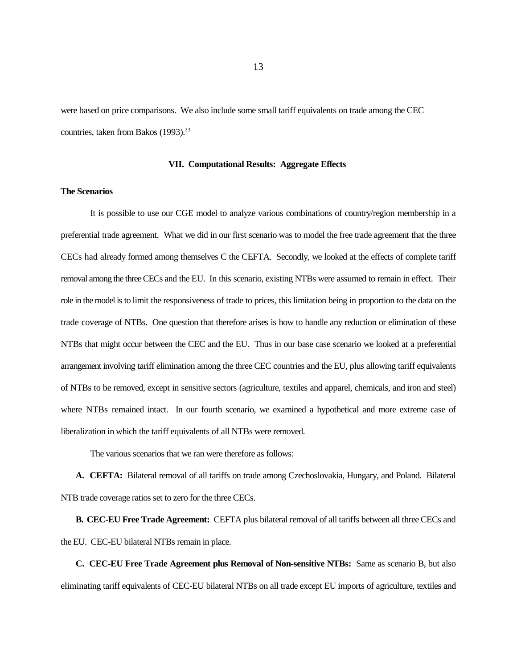were based on price comparisons. We also include some small tariff equivalents on trade among the CEC countries, taken from Bakos (1993).<sup>23</sup>

#### **VII. Computational Results: Aggregate Effects**

#### **The Scenarios**

It is possible to use our CGE model to analyze various combinations of country/region membership in a preferential trade agreement. What we did in our first scenario was to model the free trade agreement that the three CECs had already formed among themselves C the CEFTA. Secondly, we looked at the effects of complete tariff removal among the three CECs and the EU. In this scenario, existing NTBs were assumed to remain in effect. Their role in the model is to limit the responsiveness of trade to prices, this limitation being in proportion to the data on the trade coverage of NTBs. One question that therefore arises is how to handle any reduction or elimination of these NTBs that might occur between the CEC and the EU. Thus in our base case scenario we looked at a preferential arrangement involving tariff elimination among the three CEC countries and the EU, plus allowing tariff equivalents of NTBs to be removed, except in sensitive sectors (agriculture, textiles and apparel, chemicals, and iron and steel) where NTBs remained intact. In our fourth scenario, we examined a hypothetical and more extreme case of liberalization in which the tariff equivalents of all NTBs were removed.

The various scenarios that we ran were therefore as follows:

**A. CEFTA:** Bilateral removal of all tariffs on trade among Czechoslovakia, Hungary, and Poland. Bilateral NTB trade coverage ratios set to zero for the three CECs.

**B. CEC-EU Free Trade Agreement:** CEFTA plus bilateral removal of all tariffs between all three CECs and the EU. CEC-EU bilateral NTBs remain in place.

**C. CEC-EU Free Trade Agreement plus Removal of Non-sensitive NTBs:** Same as scenario B, but also eliminating tariff equivalents of CEC-EU bilateral NTBs on all trade except EU imports of agriculture, textiles and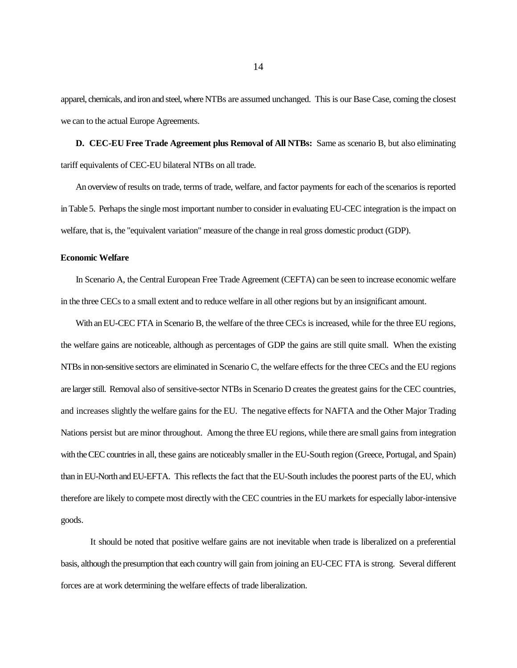apparel, chemicals, and iron and steel, where NTBs are assumed unchanged. This is our Base Case, coming the closest we can to the actual Europe Agreements.

**D. CEC-EU Free Trade Agreement plus Removal of All NTBs:** Same as scenario B, but also eliminating tariff equivalents of CEC-EU bilateral NTBs on all trade.

An overview of results on trade, terms of trade, welfare, and factor payments for each of the scenarios is reported in Table 5. Perhaps the single most important number to consider in evaluating EU-CEC integration is the impact on welfare, that is, the "equivalent variation" measure of the change in real gross domestic product (GDP).

#### **Economic Welfare**

In Scenario A, the Central European Free Trade Agreement (CEFTA) can be seen to increase economic welfare in the three CECs to a small extent and to reduce welfare in all other regions but by an insignificant amount.

With an EU-CEC FTA in Scenario B, the welfare of the three CECs is increased, while for the three EU regions, the welfare gains are noticeable, although as percentages of GDP the gains are still quite small. When the existing NTBs in non-sensitive sectors are eliminated in Scenario C, the welfare effects for the three CECs and the EU regions are larger still. Removal also of sensitive-sector NTBs in Scenario D creates the greatest gains for the CEC countries, and increases slightly the welfare gains for the EU. The negative effects for NAFTA and the Other Major Trading Nations persist but are minor throughout. Among the three EU regions, while there are small gains from integration with the CEC countries in all, these gains are noticeably smaller in the EU-South region (Greece, Portugal, and Spain) than in EU-North and EU-EFTA. This reflects the fact that the EU-South includes the poorest parts of the EU, which therefore are likely to compete most directly with the CEC countries in the EU markets for especially labor-intensive goods.

It should be noted that positive welfare gains are not inevitable when trade is liberalized on a preferential basis, although the presumption that each country will gain from joining an EU-CEC FTA is strong. Several different forces are at work determining the welfare effects of trade liberalization.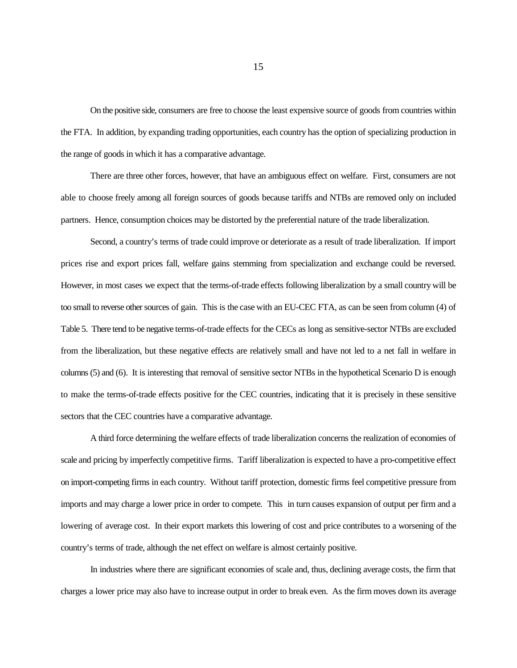On the positive side, consumers are free to choose the least expensive source of goods from countries within the FTA. In addition, by expanding trading opportunities, each country has the option of specializing production in the range of goods in which it has a comparative advantage.

There are three other forces, however, that have an ambiguous effect on welfare. First, consumers are not able to choose freely among all foreign sources of goods because tariffs and NTBs are removed only on included partners. Hence, consumption choices may be distorted by the preferential nature of the trade liberalization.

Second, a country's terms of trade could improve or deteriorate as a result of trade liberalization. If import prices rise and export prices fall, welfare gains stemming from specialization and exchange could be reversed. However, in most cases we expect that the terms-of-trade effects following liberalization by a small country will be too small to reverse other sources of gain. This is the case with an EU-CEC FTA, as can be seen from column (4) of Table 5. There tend to be negative terms-of-trade effects for the CECs as long as sensitive-sector NTBs are excluded from the liberalization, but these negative effects are relatively small and have not led to a net fall in welfare in columns (5) and (6). It is interesting that removal of sensitive sector NTBs in the hypothetical Scenario D is enough to make the terms-of-trade effects positive for the CEC countries, indicating that it is precisely in these sensitive sectors that the CEC countries have a comparative advantage.

A third force determining the welfare effects of trade liberalization concerns the realization of economies of scale and pricing by imperfectly competitive firms. Tariff liberalization is expected to have a pro-competitive effect on import-competing firms in each country. Without tariff protection, domestic firms feel competitive pressure from imports and may charge a lower price in order to compete. This in turn causes expansion of output per firm and a lowering of average cost. In their export markets this lowering of cost and price contributes to a worsening of the country's terms of trade, although the net effect on welfare is almost certainly positive.

In industries where there are significant economies of scale and, thus, declining average costs, the firm that charges a lower price may also have to increase output in order to break even. As the firm moves down its average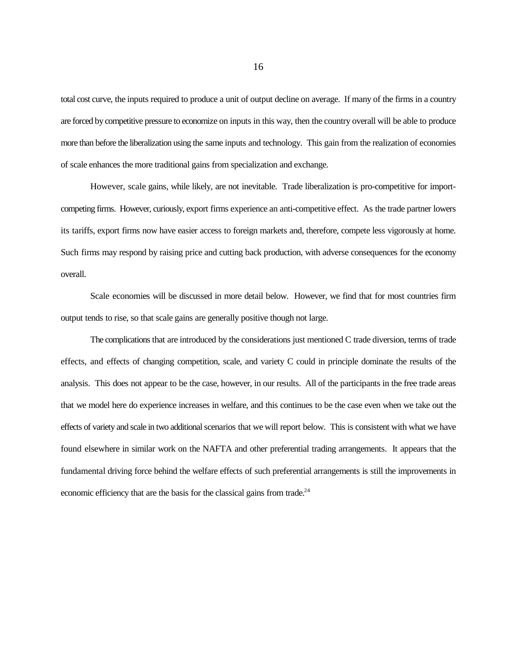total cost curve, the inputs required to produce a unit of output decline on average. If many of the firms in a country are forced by competitive pressure to economize on inputs in this way, then the country overall will be able to produce more than before the liberalization using the same inputs and technology. This gain from the realization of economies of scale enhances the more traditional gains from specialization and exchange.

However, scale gains, while likely, are not inevitable. Trade liberalization is pro-competitive for importcompeting firms. However, curiously, export firms experience an anti-competitive effect. As the trade partner lowers its tariffs, export firms now have easier access to foreign markets and, therefore, compete less vigorously at home. Such firms may respond by raising price and cutting back production, with adverse consequences for the economy overall.

Scale economies will be discussed in more detail below. However, we find that for most countries firm output tends to rise, so that scale gains are generally positive though not large.

The complications that are introduced by the considerations just mentioned C trade diversion, terms of trade effects, and effects of changing competition, scale, and variety C could in principle dominate the results of the analysis. This does not appear to be the case, however, in our results. All of the participants in the free trade areas that we model here do experience increases in welfare, and this continues to be the case even when we take out the effects of variety and scale in two additional scenarios that we will report below. This is consistent with what we have found elsewhere in similar work on the NAFTA and other preferential trading arrangements. It appears that the fundamental driving force behind the welfare effects of such preferential arrangements is still the improvements in economic efficiency that are the basis for the classical gains from trade.<sup>24</sup>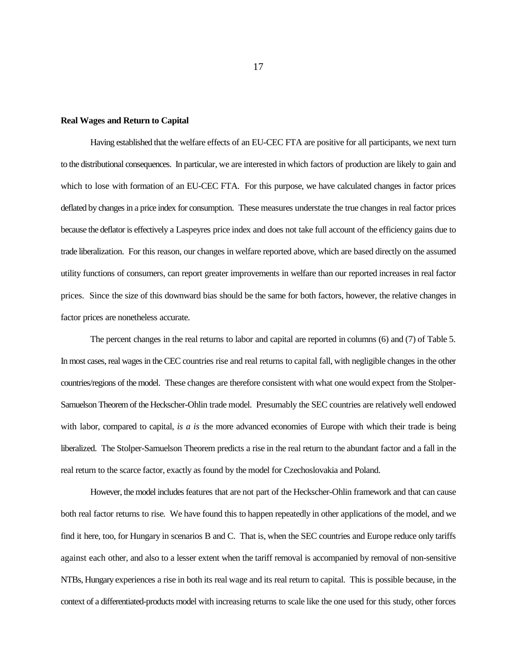#### **Real Wages and Return to Capital**

Having established that the welfare effects of an EU-CEC FTA are positive for all participants, we next turn to the distributional consequences. In particular, we are interested in which factors of production are likely to gain and which to lose with formation of an EU-CEC FTA. For this purpose, we have calculated changes in factor prices deflated by changes in a price index for consumption. These measures understate the true changes in real factor prices because the deflator is effectively a Laspeyres price index and does not take full account of the efficiency gains due to trade liberalization. For this reason, our changes in welfare reported above, which are based directly on the assumed utility functions of consumers, can report greater improvements in welfare than our reported increases in real factor prices. Since the size of this downward bias should be the same for both factors, however, the relative changes in factor prices are nonetheless accurate.

The percent changes in the real returns to labor and capital are reported in columns (6) and (7) of Table 5. In most cases, real wages in the CEC countries rise and real returns to capital fall, with negligible changes in the other countries/regions of the model. These changes are therefore consistent with what one would expect from the Stolper-Samuelson Theorem of the Heckscher-Ohlin trade model. Presumably the SEC countries are relatively well endowed with labor, compared to capital, *is a is* the more advanced economies of Europe with which their trade is being liberalized. The Stolper-Samuelson Theorem predicts a rise in the real return to the abundant factor and a fall in the real return to the scarce factor, exactly as found by the model for Czechoslovakia and Poland.

However, the model includes features that are not part of the Heckscher-Ohlin framework and that can cause both real factor returns to rise. We have found this to happen repeatedly in other applications of the model, and we find it here, too, for Hungary in scenarios B and C. That is, when the SEC countries and Europe reduce only tariffs against each other, and also to a lesser extent when the tariff removal is accompanied by removal of non-sensitive NTBs, Hungary experiences a rise in both its real wage and its real return to capital. This is possible because, in the context of a differentiated-products model with increasing returns to scale like the one used for this study, other forces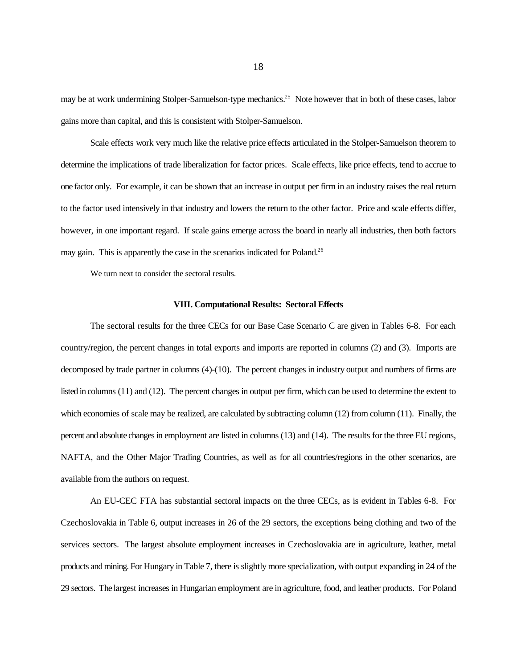may be at work undermining Stolper-Samuelson-type mechanics.<sup>25</sup> Note however that in both of these cases, labor gains more than capital, and this is consistent with Stolper-Samuelson.

Scale effects work very much like the relative price effects articulated in the Stolper-Samuelson theorem to determine the implications of trade liberalization for factor prices. Scale effects, like price effects, tend to accrue to one factor only. For example, it can be shown that an increase in output per firm in an industry raises the real return to the factor used intensively in that industry and lowers the return to the other factor. Price and scale effects differ, however, in one important regard. If scale gains emerge across the board in nearly all industries, then both factors may gain. This is apparently the case in the scenarios indicated for Poland.<sup>26</sup>

We turn next to consider the sectoral results.

#### **VIII. Computational Results: Sectoral Effects**

The sectoral results for the three CECs for our Base Case Scenario C are given in Tables 6-8. For each country/region, the percent changes in total exports and imports are reported in columns (2) and (3). Imports are decomposed by trade partner in columns (4)-(10). The percent changes in industry output and numbers of firms are listed in columns (11) and (12). The percent changes in output per firm, which can be used to determine the extent to which economies of scale may be realized, are calculated by subtracting column (12) from column (11). Finally, the percent and absolute changes in employment are listed in columns (13) and (14). The results for the three EU regions, NAFTA, and the Other Major Trading Countries, as well as for all countries/regions in the other scenarios, are available from the authors on request.

An EU-CEC FTA has substantial sectoral impacts on the three CECs, as is evident in Tables 6-8. For Czechoslovakia in Table 6, output increases in 26 of the 29 sectors, the exceptions being clothing and two of the services sectors. The largest absolute employment increases in Czechoslovakia are in agriculture, leather, metal products and mining. For Hungary in Table 7, there is slightly more specialization, with output expanding in 24 of the 29 sectors. The largest increases in Hungarian employment are in agriculture, food, and leather products. For Poland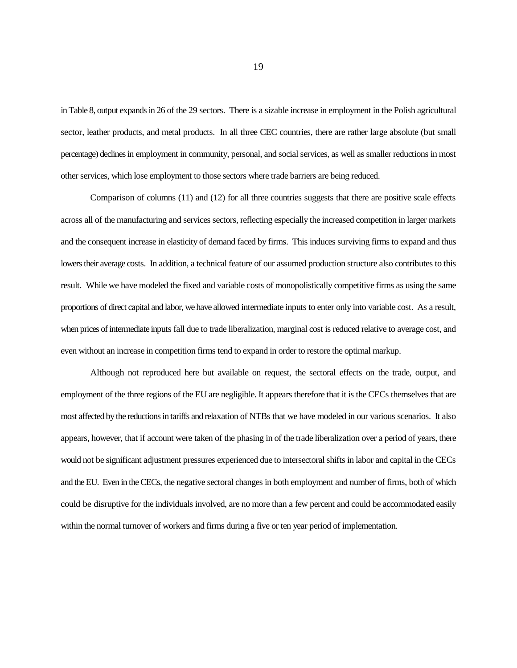in Table 8, output expands in 26 of the 29 sectors. There is a sizable increase in employment in the Polish agricultural sector, leather products, and metal products. In all three CEC countries, there are rather large absolute (but small percentage) declines in employment in community, personal, and social services, as well as smaller reductions in most other services, which lose employment to those sectors where trade barriers are being reduced.

Comparison of columns (11) and (12) for all three countries suggests that there are positive scale effects across all of the manufacturing and services sectors, reflecting especially the increased competition in larger markets and the consequent increase in elasticity of demand faced by firms. This induces surviving firms to expand and thus lowers their average costs. In addition, a technical feature of our assumed production structure also contributes to this result. While we have modeled the fixed and variable costs of monopolistically competitive firms as using the same proportions of direct capital and labor, we have allowed intermediate inputs to enter only into variable cost. As a result, when prices of intermediate inputs fall due to trade liberalization, marginal cost is reduced relative to average cost, and even without an increase in competition firms tend to expand in order to restore the optimal markup.

Although not reproduced here but available on request, the sectoral effects on the trade, output, and employment of the three regions of the EU are negligible. It appears therefore that it is the CECs themselves that are most affected by the reductions in tariffs and relaxation of NTBs that we have modeled in our various scenarios. It also appears, however, that if account were taken of the phasing in of the trade liberalization over a period of years, there would not be significant adjustment pressures experienced due to intersectoral shifts in labor and capital in the CECs and the EU. Even in the CECs, the negative sectoral changes in both employment and number of firms, both of which could be disruptive for the individuals involved, are no more than a few percent and could be accommodated easily within the normal turnover of workers and firms during a five or ten year period of implementation.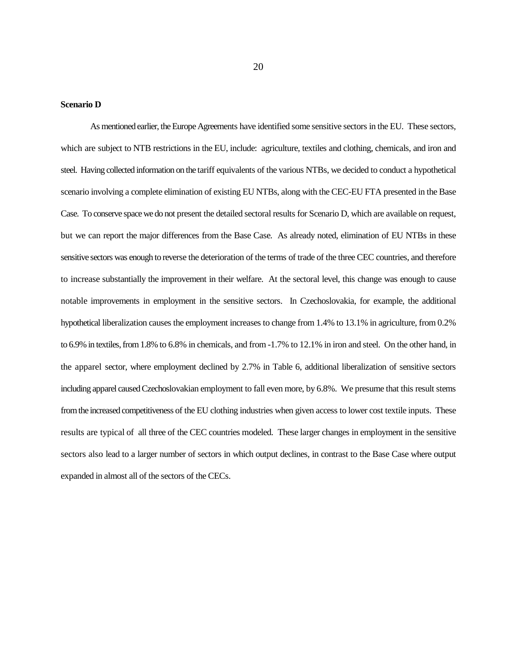#### **Scenario D**

As mentioned earlier, the Europe Agreements have identified some sensitive sectors in the EU. These sectors, which are subject to NTB restrictions in the EU, include: agriculture, textiles and clothing, chemicals, and iron and steel. Having collected information on the tariff equivalents of the various NTBs, we decided to conduct a hypothetical scenario involving a complete elimination of existing EU NTBs, along with the CEC-EU FTA presented in the Base Case. To conserve space we do not present the detailed sectoral results for Scenario D, which are available on request, but we can report the major differences from the Base Case. As already noted, elimination of EU NTBs in these sensitive sectors was enough to reverse the deterioration of the terms of trade of the three CEC countries, and therefore to increase substantially the improvement in their welfare. At the sectoral level, this change was enough to cause notable improvements in employment in the sensitive sectors. In Czechoslovakia, for example, the additional hypothetical liberalization causes the employment increases to change from 1.4% to 13.1% in agriculture, from 0.2% to 6.9% in textiles, from 1.8% to 6.8% in chemicals, and from -1.7% to 12.1% in iron and steel. On the other hand, in the apparel sector, where employment declined by 2.7% in Table 6, additional liberalization of sensitive sectors including apparel caused Czechoslovakian employment to fall even more, by 6.8%. We presume that this result stems from the increased competitiveness of the EU clothing industries when given access to lower cost textile inputs. These results are typical of all three of the CEC countries modeled. These larger changes in employment in the sensitive sectors also lead to a larger number of sectors in which output declines, in contrast to the Base Case where output expanded in almost all of the sectors of the CECs.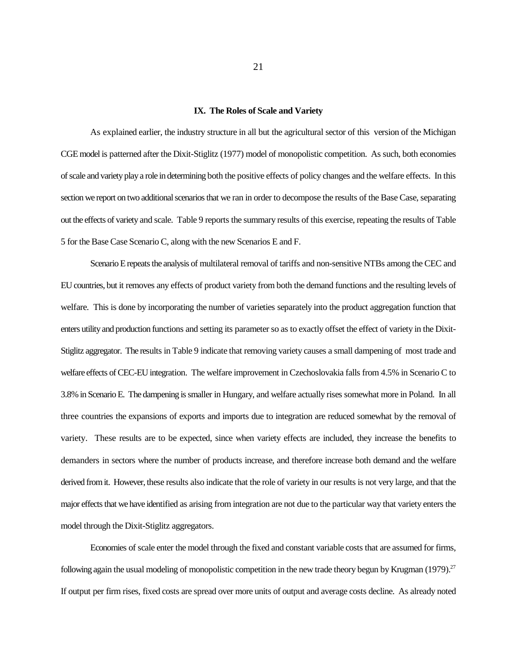#### **IX. The Roles of Scale and Variety**

As explained earlier, the industry structure in all but the agricultural sector of this version of the Michigan CGE model is patterned after the Dixit-Stiglitz (1977) model of monopolistic competition. As such, both economies of scale and variety play a role in determining both the positive effects of policy changes and the welfare effects. In this section we report on two additional scenarios that we ran in order to decompose the results of the Base Case, separating out the effects of variety and scale. Table 9 reports the summary results of this exercise, repeating the results of Table 5 for the Base Case Scenario C, along with the new Scenarios E and F.

Scenario E repeats the analysis of multilateral removal of tariffs and non-sensitive NTBs among the CEC and EU countries, but it removes any effects of product variety from both the demand functions and the resulting levels of welfare. This is done by incorporating the number of varieties separately into the product aggregation function that enters utility and production functions and setting its parameter so as to exactly offset the effect of variety in the Dixit-Stiglitz aggregator. The results in Table 9 indicate that removing variety causes a small dampening of most trade and welfare effects of CEC-EU integration. The welfare improvement in Czechoslovakia falls from 4.5% in Scenario C to 3.8% in Scenario E. The dampening is smaller in Hungary, and welfare actually rises somewhat more in Poland. In all three countries the expansions of exports and imports due to integration are reduced somewhat by the removal of variety. These results are to be expected, since when variety effects are included, they increase the benefits to demanders in sectors where the number of products increase, and therefore increase both demand and the welfare derived from it. However, these results also indicate that the role of variety in our results is not very large, and that the major effects that we have identified as arising from integration are not due to the particular way that variety enters the model through the Dixit-Stiglitz aggregators.

Economies of scale enter the model through the fixed and constant variable costs that are assumed for firms, following again the usual modeling of monopolistic competition in the new trade theory begun by Krugman (1979).<sup>27</sup> If output per firm rises, fixed costs are spread over more units of output and average costs decline. As already noted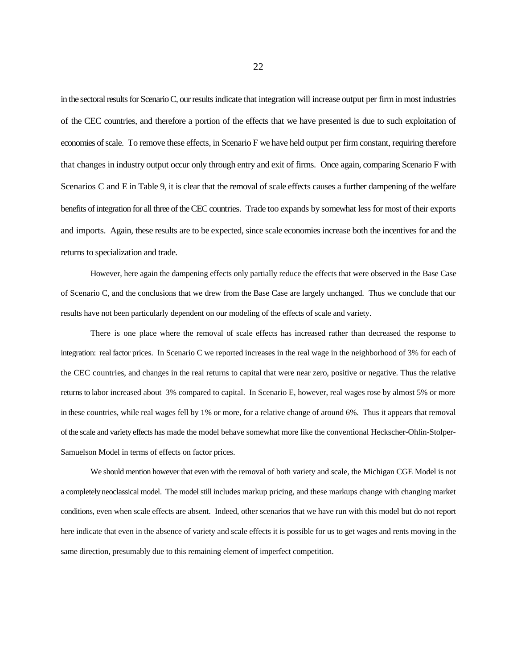in the sectoral results for Scenario C, our results indicate that integration will increase output per firm in most industries of the CEC countries, and therefore a portion of the effects that we have presented is due to such exploitation of economies of scale. To remove these effects, in Scenario F we have held output per firm constant, requiring therefore that changes in industry output occur only through entry and exit of firms. Once again, comparing Scenario F with Scenarios C and E in Table 9, it is clear that the removal of scale effects causes a further dampening of the welfare benefits of integration for all three of the CEC countries. Trade too expands by somewhat less for most of their exports and imports. Again, these results are to be expected, since scale economies increase both the incentives for and the returns to specialization and trade.

However, here again the dampening effects only partially reduce the effects that were observed in the Base Case of Scenario C, and the conclusions that we drew from the Base Case are largely unchanged. Thus we conclude that our results have not been particularly dependent on our modeling of the effects of scale and variety.

There is one place where the removal of scale effects has increased rather than decreased the response to integration: real factor prices. In Scenario C we reported increases in the real wage in the neighborhood of 3% for each of the CEC countries, and changes in the real returns to capital that were near zero, positive or negative. Thus the relative returns to labor increased about 3% compared to capital. In Scenario E, however, real wages rose by almost 5% or more in these countries, while real wages fell by 1% or more, for a relative change of around 6%. Thus it appears that removal of the scale and variety effects has made the model behave somewhat more like the conventional Heckscher-Ohlin-Stolper-Samuelson Model in terms of effects on factor prices.

We should mention however that even with the removal of both variety and scale, the Michigan CGE Model is not a completely neoclassical model. The model still includes markup pricing, and these markups change with changing market conditions, even when scale effects are absent. Indeed, other scenarios that we have run with this model but do not report here indicate that even in the absence of variety and scale effects it is possible for us to get wages and rents moving in the same direction, presumably due to this remaining element of imperfect competition.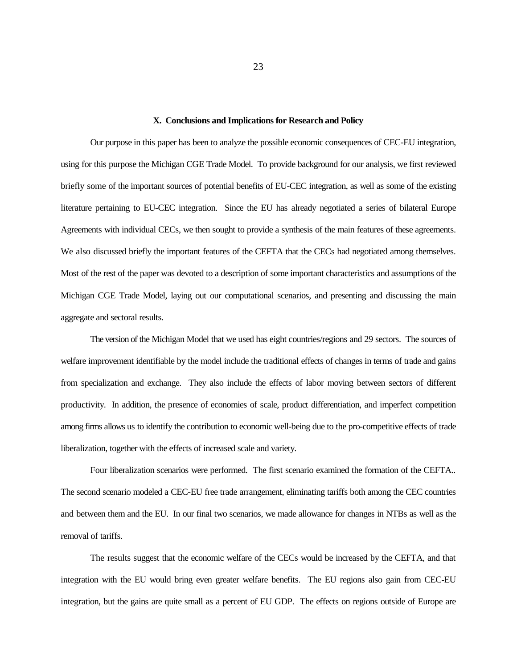#### **X. Conclusions and Implications for Research and Policy**

Our purpose in this paper has been to analyze the possible economic consequences of CEC-EU integration, using for this purpose the Michigan CGE Trade Model. To provide background for our analysis, we first reviewed briefly some of the important sources of potential benefits of EU-CEC integration, as well as some of the existing literature pertaining to EU-CEC integration. Since the EU has already negotiated a series of bilateral Europe Agreements with individual CECs, we then sought to provide a synthesis of the main features of these agreements. We also discussed briefly the important features of the CEFTA that the CECs had negotiated among themselves. Most of the rest of the paper was devoted to a description of some important characteristics and assumptions of the Michigan CGE Trade Model, laying out our computational scenarios, and presenting and discussing the main aggregate and sectoral results.

The version of the Michigan Model that we used has eight countries/regions and 29 sectors. The sources of welfare improvement identifiable by the model include the traditional effects of changes in terms of trade and gains from specialization and exchange. They also include the effects of labor moving between sectors of different productivity. In addition, the presence of economies of scale, product differentiation, and imperfect competition among firms allows us to identify the contribution to economic well-being due to the pro-competitive effects of trade liberalization, together with the effects of increased scale and variety.

Four liberalization scenarios were performed. The first scenario examined the formation of the CEFTA.. The second scenario modeled a CEC-EU free trade arrangement, eliminating tariffs both among the CEC countries and between them and the EU. In our final two scenarios, we made allowance for changes in NTBs as well as the removal of tariffs.

The results suggest that the economic welfare of the CECs would be increased by the CEFTA, and that integration with the EU would bring even greater welfare benefits. The EU regions also gain from CEC-EU integration, but the gains are quite small as a percent of EU GDP. The effects on regions outside of Europe are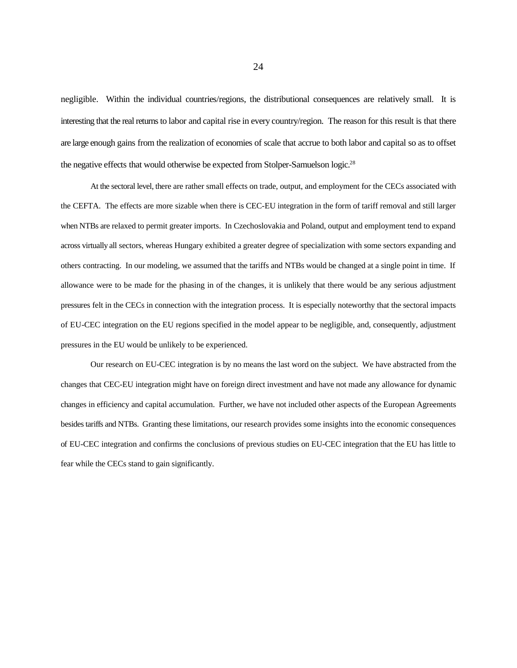negligible. Within the individual countries/regions, the distributional consequences are relatively small. It is interesting that the real returns to labor and capital rise in every country/region. The reason for this result is that there are large enough gains from the realization of economies of scale that accrue to both labor and capital so as to offset the negative effects that would otherwise be expected from Stolper-Samuelson logic.<sup>28</sup>

At the sectoral level, there are rather small effects on trade, output, and employment for the CECs associated with the CEFTA. The effects are more sizable when there is CEC-EU integration in the form of tariff removal and still larger when NTBs are relaxed to permit greater imports. In Czechoslovakia and Poland, output and employment tend to expand across virtually all sectors, whereas Hungary exhibited a greater degree of specialization with some sectors expanding and others contracting. In our modeling, we assumed that the tariffs and NTBs would be changed at a single point in time. If allowance were to be made for the phasing in of the changes, it is unlikely that there would be any serious adjustment pressures felt in the CECs in connection with the integration process. It is especially noteworthy that the sectoral impacts of EU-CEC integration on the EU regions specified in the model appear to be negligible, and, consequently, adjustment pressures in the EU would be unlikely to be experienced.

Our research on EU-CEC integration is by no means the last word on the subject. We have abstracted from the changes that CEC-EU integration might have on foreign direct investment and have not made any allowance for dynamic changes in efficiency and capital accumulation. Further, we have not included other aspects of the European Agreements besides tariffs and NTBs. Granting these limitations, our research provides some insights into the economic consequences of EU-CEC integration and confirms the conclusions of previous studies on EU-CEC integration that the EU has little to fear while the CECs stand to gain significantly.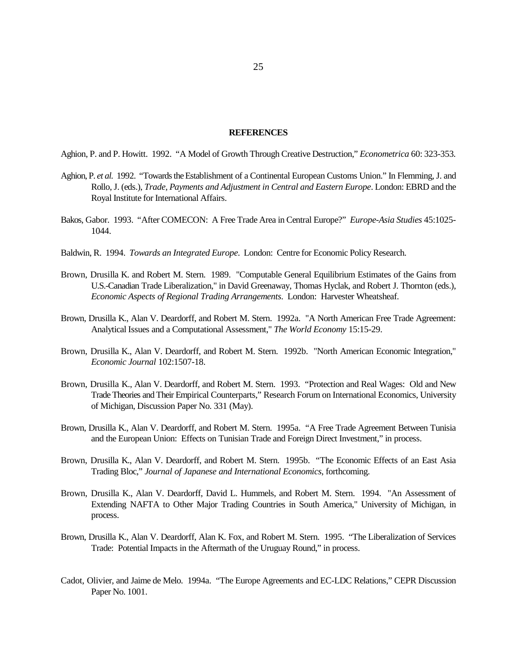#### **REFERENCES**

Aghion, P. and P. Howitt. 1992. "A Model of Growth Through Creative Destruction," *Econometrica* 60: 323-353*.*

- Aghion, P. *et al.* 1992. "Towards the Establishment of a Continental European Customs Union." In Flemming, J. and Rollo, J. (eds.), *Trade, Payments and Adjustment in Central and Eastern Europe*. London: EBRD and the Royal Institute for International Affairs.
- Bakos, Gabor. 1993. "After COMECON: A Free Trade Area in Central Europe?" *Europe-Asia Studies* 45:1025- 1044.
- Baldwin, R. 1994. *Towards an Integrated Europe*. London: Centre for Economic Policy Research.
- Brown, Drusilla K. and Robert M. Stern. 1989. "Computable General Equilibrium Estimates of the Gains from U.S.-Canadian Trade Liberalization," in David Greenaway, Thomas Hyclak, and Robert J. Thornton (eds.), *Economic Aspects of Regional Trading Arrangements*. London: Harvester Wheatsheaf.
- Brown, Drusilla K., Alan V. Deardorff, and Robert M. Stern. 1992a. "A North American Free Trade Agreement: Analytical Issues and a Computational Assessment," *The World Economy* 15:15-29.
- Brown, Drusilla K., Alan V. Deardorff, and Robert M. Stern. 1992b. "North American Economic Integration," *Economic Journal* 102:1507-18.
- Brown, Drusilla K., Alan V. Deardorff, and Robert M. Stern. 1993. "Protection and Real Wages: Old and New Trade Theories and Their Empirical Counterparts," Research Forum on International Economics, University of Michigan, Discussion Paper No. 331 (May).
- Brown, Drusilla K., Alan V. Deardorff, and Robert M. Stern. 1995a. "A Free Trade Agreement Between Tunisia and the European Union: Effects on Tunisian Trade and Foreign Direct Investment," in process.
- Brown, Drusilla K., Alan V. Deardorff, and Robert M. Stern. 1995b. "The Economic Effects of an East Asia Trading Bloc," *Journal of Japanese and International Economics*, forthcoming.
- Brown, Drusilla K., Alan V. Deardorff, David L. Hummels, and Robert M. Stern. 1994. "An Assessment of Extending NAFTA to Other Major Trading Countries in South America," University of Michigan, in process.
- Brown, Drusilla K., Alan V. Deardorff, Alan K. Fox, and Robert M. Stern. 1995. "The Liberalization of Services Trade: Potential Impacts in the Aftermath of the Uruguay Round," in process.
- Cadot, Olivier, and Jaime de Melo. 1994a. "The Europe Agreements and EC-LDC Relations," CEPR Discussion Paper No. 1001.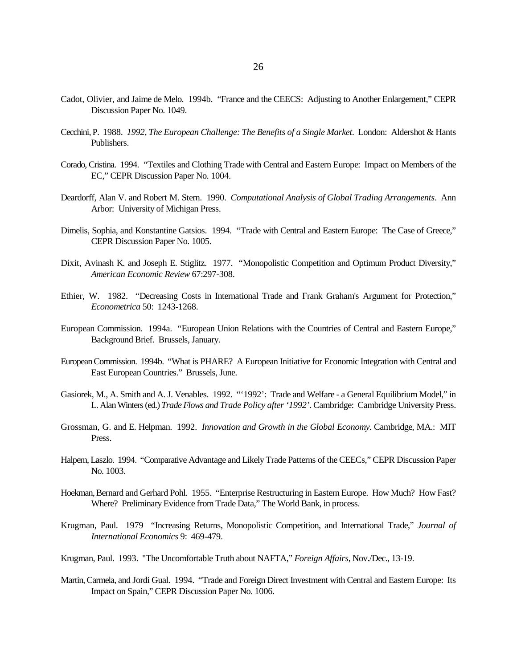- Cadot, Olivier, and Jaime de Melo. 1994b. "France and the CEECS: Adjusting to Another Enlargement," CEPR Discussion Paper No. 1049.
- Cecchini, P. 1988. *1992, The European Challenge: The Benefits of a Single Market*. London: Aldershot & Hants Publishers.
- Corado, Cristina. 1994. "Textiles and Clothing Trade with Central and Eastern Europe: Impact on Members of the EC," CEPR Discussion Paper No. 1004.
- Deardorff, Alan V. and Robert M. Stern. 1990. *Computational Analysis of Global Trading Arrangements*. Ann Arbor: University of Michigan Press.
- Dimelis, Sophia, and Konstantine Gatsios. 1994. "Trade with Central and Eastern Europe: The Case of Greece," CEPR Discussion Paper No. 1005.
- Dixit, Avinash K. and Joseph E. Stiglitz. 1977. "Monopolistic Competition and Optimum Product Diversity," *American Economic Review* 67:297-308.
- Ethier, W. 1982. "Decreasing Costs in International Trade and Frank Graham's Argument for Protection," *Econometrica* 50: 1243-1268.
- European Commission. 1994a. "European Union Relations with the Countries of Central and Eastern Europe," Background Brief. Brussels, January.
- European Commission. 1994b. "What is PHARE? A European Initiative for Economic Integration with Central and East European Countries." Brussels, June.
- Gasiorek, M., A. Smith and A. J. Venables. 1992. "'1992': Trade and Welfare a General Equilibrium Model," in L. Alan Winters (ed.) *Trade Flows and Trade Policy after '1992'*. Cambridge: Cambridge University Press.
- Grossman, G. and E. Helpman. 1992. *Innovation and Growth in the Global Economy.* Cambridge, MA.: MIT Press.
- Halpern, Laszlo. 1994. "Comparative Advantage and Likely Trade Patterns of the CEECs," CEPR Discussion Paper No. 1003.
- Hoekman, Bernard and Gerhard Pohl. 1955. "Enterprise Restructuring in Eastern Europe. How Much? How Fast? Where? Preliminary Evidence from Trade Data," The World Bank, in process.
- Krugman, Paul. 1979 "Increasing Returns, Monopolistic Competition, and International Trade," *Journal of International Economics* 9: 469-479.
- Krugman, Paul. 1993. "The Uncomfortable Truth about NAFTA," *Foreign Affairs*, Nov./Dec., 13-19.
- Martin, Carmela, and Jordi Gual. 1994. "Trade and Foreign Direct Investment with Central and Eastern Europe: Its Impact on Spain," CEPR Discussion Paper No. 1006.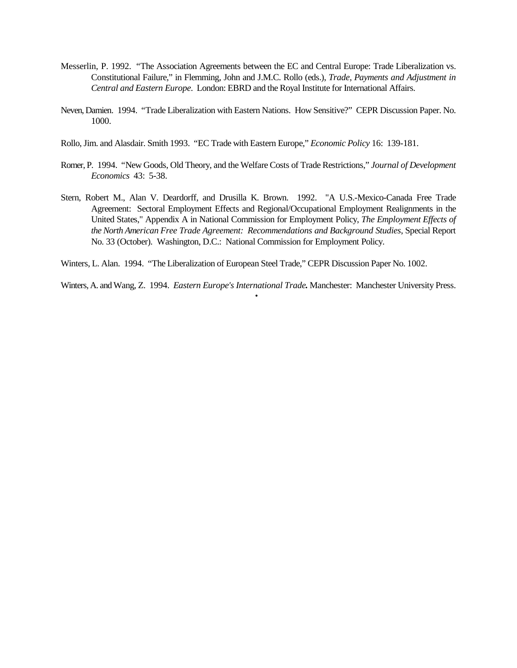- Messerlin, P. 1992. "The Association Agreements between the EC and Central Europe: Trade Liberalization vs. Constitutional Failure," in Flemming, John and J.M.C. Rollo (eds.), *Trade, Payments and Adjustment in Central and Eastern Europe*. London: EBRD and the Royal Institute for International Affairs.
- Neven, Damien. 1994. "Trade Liberalization with Eastern Nations. How Sensitive?" CEPR Discussion Paper. No. 1000.

Rollo, Jim. and Alasdair. Smith 1993. "EC Trade with Eastern Europe," *Economic Policy* 16: 139-181.

- Romer, P. 1994. "New Goods, Old Theory, and the Welfare Costs of Trade Restrictions," *Journal of Development Economics* 43: 5-38.
- Stern, Robert M., Alan V. Deardorff, and Drusilla K. Brown. 1992. "A U.S.-Mexico-Canada Free Trade Agreement: Sectoral Employment Effects and Regional/Occupational Employment Realignments in the United States," Appendix A in National Commission for Employment Policy, *The Employment Effects of the North American Free Trade Agreement: Recommendations and Background Studies*, Special Report No. 33 (October). Washington, D.C.: National Commission for Employment Policy.

Winters, L. Alan. 1994. "The Liberalization of European Steel Trade," CEPR Discussion Paper No. 1002.

Winters, A. and Wang, Z. 1994. *Eastern Europe's International Trade.* Manchester: Manchester University Press. •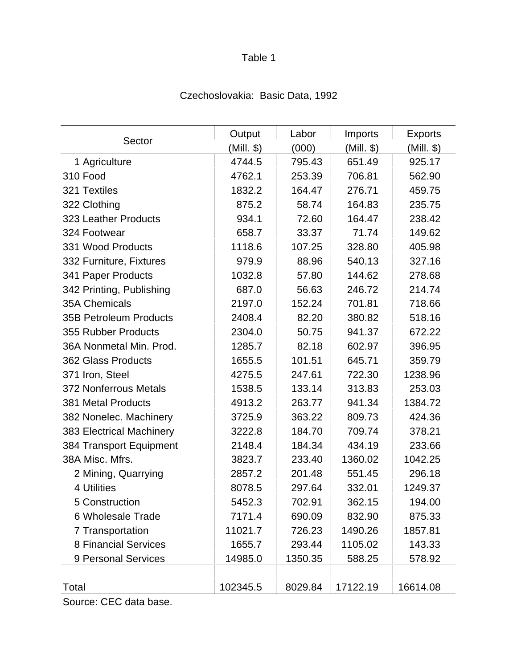# Czechoslovakia: Basic Data, 1992

|                               | Output     | Labor   | Imports    | <b>Exports</b> |
|-------------------------------|------------|---------|------------|----------------|
| Sector                        | (Mill. \$) | (000)   | (Mill. \$) | (Mill. \$)     |
| 1 Agriculture                 | 4744.5     | 795.43  | 651.49     | 925.17         |
| 310 Food                      | 4762.1     | 253.39  | 706.81     | 562.90         |
| 321 Textiles                  | 1832.2     | 164.47  | 276.71     | 459.75         |
| 322 Clothing                  | 875.2      | 58.74   | 164.83     | 235.75         |
| 323 Leather Products          | 934.1      | 72.60   | 164.47     | 238.42         |
| 324 Footwear                  | 658.7      | 33.37   | 71.74      | 149.62         |
| 331 Wood Products             | 1118.6     | 107.25  | 328.80     | 405.98         |
| 332 Furniture, Fixtures       | 979.9      | 88.96   | 540.13     | 327.16         |
| 341 Paper Products            | 1032.8     | 57.80   | 144.62     | 278.68         |
| 342 Printing, Publishing      | 687.0      | 56.63   | 246.72     | 214.74         |
| <b>35A Chemicals</b>          | 2197.0     | 152.24  | 701.81     | 718.66         |
| <b>35B Petroleum Products</b> | 2408.4     | 82.20   | 380.82     | 518.16         |
| 355 Rubber Products           | 2304.0     | 50.75   | 941.37     | 672.22         |
| 36A Nonmetal Min. Prod.       | 1285.7     | 82.18   | 602.97     | 396.95         |
| 362 Glass Products            | 1655.5     | 101.51  | 645.71     | 359.79         |
| 371 Iron, Steel               | 4275.5     | 247.61  | 722.30     | 1238.96        |
| 372 Nonferrous Metals         | 1538.5     | 133.14  | 313.83     | 253.03         |
| 381 Metal Products            | 4913.2     | 263.77  | 941.34     | 1384.72        |
| 382 Nonelec. Machinery        | 3725.9     | 363.22  | 809.73     | 424.36         |
| 383 Electrical Machinery      | 3222.8     | 184.70  | 709.74     | 378.21         |
| 384 Transport Equipment       | 2148.4     | 184.34  | 434.19     | 233.66         |
| 38A Misc. Mfrs.               | 3823.7     | 233.40  | 1360.02    | 1042.25        |
| 2 Mining, Quarrying           | 2857.2     | 201.48  | 551.45     | 296.18         |
| 4 Utilities                   | 8078.5     | 297.64  | 332.01     | 1249.37        |
| 5 Construction                | 5452.3     | 702.91  | 362.15     | 194.00         |
| 6 Wholesale Trade             | 7171.4     | 690.09  | 832.90     | 875.33         |
| 7 Transportation              | 11021.7    | 726.23  | 1490.26    | 1857.81        |
| <b>8 Financial Services</b>   | 1655.7     | 293.44  | 1105.02    | 143.33         |
| 9 Personal Services           | 14985.0    | 1350.35 | 588.25     | 578.92         |
|                               |            |         |            |                |
| Total                         | 102345.5   | 8029.84 | 17122.19   | 16614.08       |

Source: CEC data base.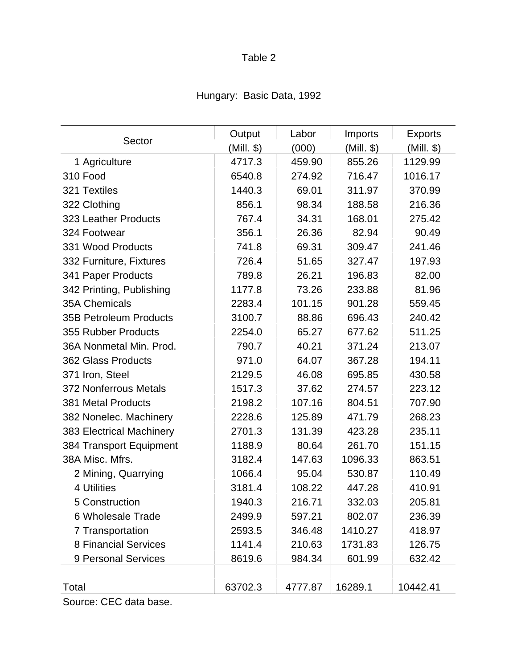# Hungary: Basic Data, 1992

|                               | Output     | Labor   | Imports    | <b>Exports</b> |
|-------------------------------|------------|---------|------------|----------------|
| Sector                        | (Mill. \$) | (000)   | (Mill. \$) | (Mill. \$)     |
| 1 Agriculture                 | 4717.3     | 459.90  | 855.26     | 1129.99        |
| 310 Food                      | 6540.8     | 274.92  | 716.47     | 1016.17        |
| 321 Textiles                  | 1440.3     | 69.01   | 311.97     | 370.99         |
| 322 Clothing                  | 856.1      | 98.34   | 188.58     | 216.36         |
| 323 Leather Products          | 767.4      | 34.31   | 168.01     | 275.42         |
| 324 Footwear                  | 356.1      | 26.36   | 82.94      | 90.49          |
| 331 Wood Products             | 741.8      | 69.31   | 309.47     | 241.46         |
| 332 Furniture, Fixtures       | 726.4      | 51.65   | 327.47     | 197.93         |
| 341 Paper Products            | 789.8      | 26.21   | 196.83     | 82.00          |
| 342 Printing, Publishing      | 1177.8     | 73.26   | 233.88     | 81.96          |
| <b>35A Chemicals</b>          | 2283.4     | 101.15  | 901.28     | 559.45         |
| <b>35B Petroleum Products</b> | 3100.7     | 88.86   | 696.43     | 240.42         |
| 355 Rubber Products           | 2254.0     | 65.27   | 677.62     | 511.25         |
| 36A Nonmetal Min. Prod.       | 790.7      | 40.21   | 371.24     | 213.07         |
| 362 Glass Products            | 971.0      | 64.07   | 367.28     | 194.11         |
| 371 Iron, Steel               | 2129.5     | 46.08   | 695.85     | 430.58         |
| 372 Nonferrous Metals         | 1517.3     | 37.62   | 274.57     | 223.12         |
| 381 Metal Products            | 2198.2     | 107.16  | 804.51     | 707.90         |
| 382 Nonelec. Machinery        | 2228.6     | 125.89  | 471.79     | 268.23         |
| 383 Electrical Machinery      | 2701.3     | 131.39  | 423.28     | 235.11         |
| 384 Transport Equipment       | 1188.9     | 80.64   | 261.70     | 151.15         |
| 38A Misc. Mfrs.               | 3182.4     | 147.63  | 1096.33    | 863.51         |
| 2 Mining, Quarrying           | 1066.4     | 95.04   | 530.87     | 110.49         |
| 4 Utilities                   | 3181.4     | 108.22  | 447.28     | 410.91         |
| 5 Construction                | 1940.3     | 216.71  | 332.03     | 205.81         |
| 6 Wholesale Trade             | 2499.9     | 597.21  | 802.07     | 236.39         |
| 7 Transportation              | 2593.5     | 346.48  | 1410.27    | 418.97         |
| <b>8 Financial Services</b>   | 1141.4     | 210.63  | 1731.83    | 126.75         |
| 9 Personal Services           | 8619.6     | 984.34  | 601.99     | 632.42         |
|                               |            |         |            |                |
| Total                         | 63702.3    | 4777.87 | 16289.1    | 10442.41       |

Source: CEC data base.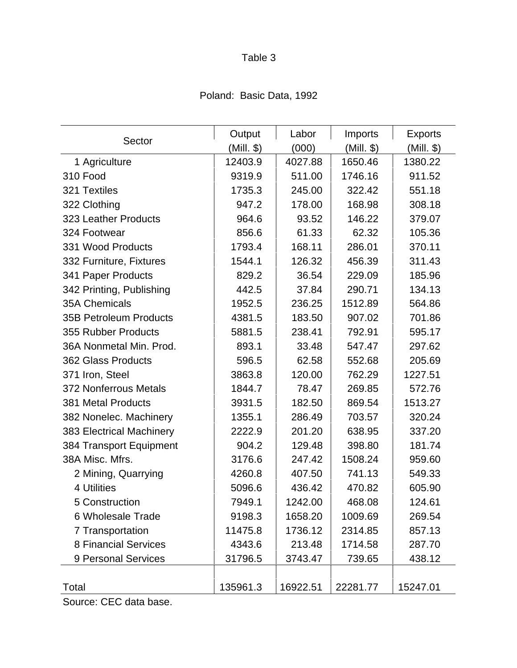# Poland: Basic Data, 1992

|                               | Output     | Labor    | Imports    | <b>Exports</b> |
|-------------------------------|------------|----------|------------|----------------|
| Sector                        | (Mill. \$) | (000)    | (Mill. \$) | (Mill. \$)     |
| 1 Agriculture                 | 12403.9    | 4027.88  | 1650.46    | 1380.22        |
| 310 Food                      | 9319.9     | 511.00   | 1746.16    | 911.52         |
| 321 Textiles                  | 1735.3     | 245.00   | 322.42     | 551.18         |
| 322 Clothing                  | 947.2      | 178.00   | 168.98     | 308.18         |
| 323 Leather Products          | 964.6      | 93.52    | 146.22     | 379.07         |
| 324 Footwear                  | 856.6      | 61.33    | 62.32      | 105.36         |
| 331 Wood Products             | 1793.4     | 168.11   | 286.01     | 370.11         |
| 332 Furniture, Fixtures       | 1544.1     | 126.32   | 456.39     | 311.43         |
| 341 Paper Products            | 829.2      | 36.54    | 229.09     | 185.96         |
| 342 Printing, Publishing      | 442.5      | 37.84    | 290.71     | 134.13         |
| <b>35A Chemicals</b>          | 1952.5     | 236.25   | 1512.89    | 564.86         |
| <b>35B Petroleum Products</b> | 4381.5     | 183.50   | 907.02     | 701.86         |
| 355 Rubber Products           | 5881.5     | 238.41   | 792.91     | 595.17         |
| 36A Nonmetal Min. Prod.       | 893.1      | 33.48    | 547.47     | 297.62         |
| 362 Glass Products            | 596.5      | 62.58    | 552.68     | 205.69         |
| 371 Iron, Steel               | 3863.8     | 120.00   | 762.29     | 1227.51        |
| 372 Nonferrous Metals         | 1844.7     | 78.47    | 269.85     | 572.76         |
| 381 Metal Products            | 3931.5     | 182.50   | 869.54     | 1513.27        |
| 382 Nonelec. Machinery        | 1355.1     | 286.49   | 703.57     | 320.24         |
| 383 Electrical Machinery      | 2222.9     | 201.20   | 638.95     | 337.20         |
| 384 Transport Equipment       | 904.2      | 129.48   | 398.80     | 181.74         |
| 38A Misc. Mfrs.               | 3176.6     | 247.42   | 1508.24    | 959.60         |
| 2 Mining, Quarrying           | 4260.8     | 407.50   | 741.13     | 549.33         |
| 4 Utilities                   | 5096.6     | 436.42   | 470.82     | 605.90         |
| 5 Construction                | 7949.1     | 1242.00  | 468.08     | 124.61         |
| 6 Wholesale Trade             | 9198.3     | 1658.20  | 1009.69    | 269.54         |
| 7 Transportation              | 11475.8    | 1736.12  | 2314.85    | 857.13         |
| <b>8 Financial Services</b>   | 4343.6     | 213.48   | 1714.58    | 287.70         |
| 9 Personal Services           | 31796.5    | 3743.47  | 739.65     | 438.12         |
|                               |            |          |            |                |
| Total                         | 135961.3   | 16922.51 | 22281.77   | 15247.01       |

Source: CEC data base.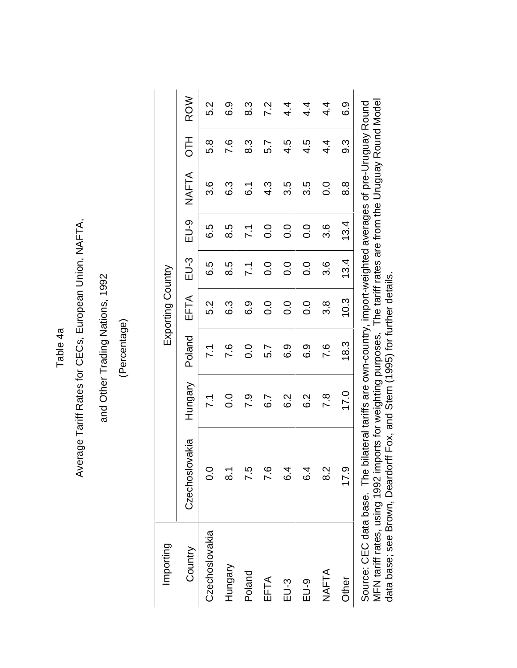Table 4a Table 4a

Average Tariff Rates for CECs, European Union, NAFTA, Average Tariff Rates for CECs, European Union, NAFTA,

and Other Trading Nations, 1992 and Other Trading Nations, 1992

(Percentage) (Percentage)

| Importing                  |                 |                                                                                  |                  | Exporting Country |           |                  |                  |            |                 |
|----------------------------|-----------------|----------------------------------------------------------------------------------|------------------|-------------------|-----------|------------------|------------------|------------|-----------------|
| Country                    | Czechoslovakia  | Hungary                                                                          | Poland           | EFTA              | EU-3      | EU-9             | NAFTA            | <b>HIO</b> | <b>ROW</b>      |
| Czechoslovakia             | $\frac{0}{0}$   | 7.1                                                                              | $\overline{7.1}$ | 5.2               | 6.5       | G.5              | 3.6              | 5.8        | 5.2             |
| Hungary                    | $\overline{8}$  | 0.0                                                                              | 7.6              | <b>ვ.</b>         | 8.5       | 8.5              | <b>ვ.</b>        | 7.6        | <u>၉ ၁</u>      |
| Poland                     | 7.5             | <u>დ</u>                                                                         | $\frac{0}{0}$    | <u>၀</u> :၀       | 7.1       | $\overline{7.1}$ | $\overline{6}$ . | လ္ပဲ       | 8.3             |
| EFTA                       | 7.6             | 6.7                                                                              | 5.7              | 0.0               | 0.0       | 0.0              | 4.3              | 57         | 7.2             |
| EU-3                       | $\frac{4}{3}$   | <u>ي</u><br>6                                                                    | <u>ဝ</u>         | $\frac{0}{0}$     | 0.0       | 0.0              | 3.5              | 4.5        | 4.4             |
| EU-9                       | $6\overline{4}$ | S.2                                                                              | <u>၀</u>         | 0.0               | 0.0       | 0.0              | 3.5              | 4.5        | $4\overline{4}$ |
| NAFTA                      | 8.2             | 7.8                                                                              | 7.6              | 3.8               | <u>ვ.</u> | 3.6              | $\frac{0}{2}$    | 4.<br>4    | $4\overline{4}$ |
| Other                      | 17.9            | 17.0                                                                             | 18.3             | 10.3              | 13.4      | 13.4             | 8.8              | ე :<br>თ   | <u>၀</u>        |
| Source: CEC data base. The |                 | bilateral fariffs are own-country, import-weighted averages of pre-Uniquay Round |                  |                   |           |                  |                  |            |                 |

Source. CEC data base. The bilateral tanins are own-country, infport-weighted averages or pre-oruguay Round<br>MFN tariff rates, using 1992 imports for weighting purposes. The tariff rates are from the Uruguay Round Model MFN tariff rates, using 1992 imports for weighting purposes. The tariff rates are from the Uruguay Round Model Source: CEC data base. The bilateral tariffs are own-country, import-weighted averages of pre-Uruguay Round data base; see Brown, Deardorff Fox, and Stern (1995) for further details. data base; see Brown, Deardorff Fox, and Stern (1995) for further details.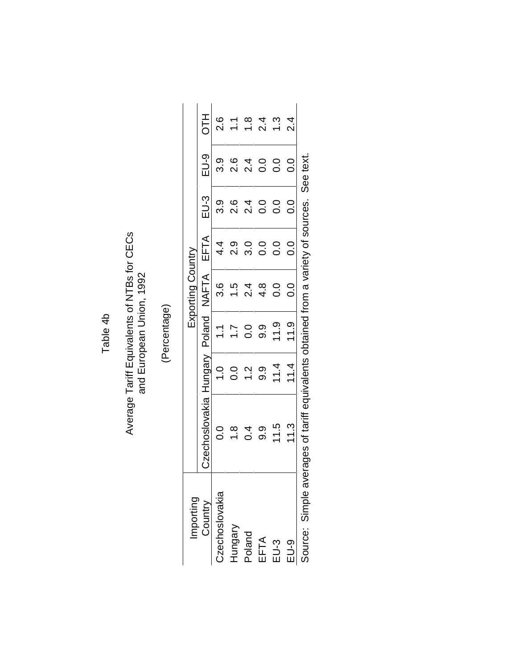Table 4b Table 4b

# Average Tariff Equivalents of NTBs for CECs<br>and European Union, 1992 Average Tariff Equivalents of NTBs for CECs and European Union, 1992

# (Percentage) (Percentage)

| Importing                                                                                                                                                                   |                               |               |                  | Exporting Country |                 |      |                  |                  |
|-----------------------------------------------------------------------------------------------------------------------------------------------------------------------------|-------------------------------|---------------|------------------|-------------------|-----------------|------|------------------|------------------|
| Country                                                                                                                                                                     | Czechoslovakia Hungary Poland |               |                  | NAFTA             | EFTA            | EU-3 | EU-9             | <b>HLO</b>       |
| Czechoslovakia                                                                                                                                                              | 0.0                           | $\frac{0}{1}$ |                  | <u>ვ.</u>         | $4\overline{4}$ | 3.9  | 3.9              | 2.6              |
| Hungary                                                                                                                                                                     | $\frac{8}{1}$                 | 0.0           | 1.7              |                   | o.<br>N         | 0.io | 0.<br>2.i        | $\overline{1}$ . |
| Poland                                                                                                                                                                      | $\frac{4}{1}$                 | $\frac{2}{1}$ | $\overline{0}$ . | $\frac{4}{2}$     | $\frac{0}{3}$   | 2.i  | <u>4</u><br>२    | $\frac{8}{1}$    |
| EFTA                                                                                                                                                                        | 9.9                           | ၀.၀           | თ<br>თ           | $\frac{8}{4}$     | 0.0             | 0.0  | $\overline{0}$ . | 2.4              |
| EU-3                                                                                                                                                                        | 11.5                          | 11.4          | 11.9             | $\overline{0}$ .  | 0.0             | 0.0  | 0.0              | <u>ე</u>         |
| EU-9                                                                                                                                                                        | 11.3                          | 11.4          | 11.9             | $\overline{0}$ .  | 0.0             | 0.0  | 0.0              | 2.i              |
| that a contract of a contract of the strain determination in the contract of a contract of a contract of a contract of the contract of the contract of a contract of $\sim$ |                               |               |                  |                   |                 |      |                  |                  |

Source: Simple averages of tariff equivalents obtained from a variety of sources. See text.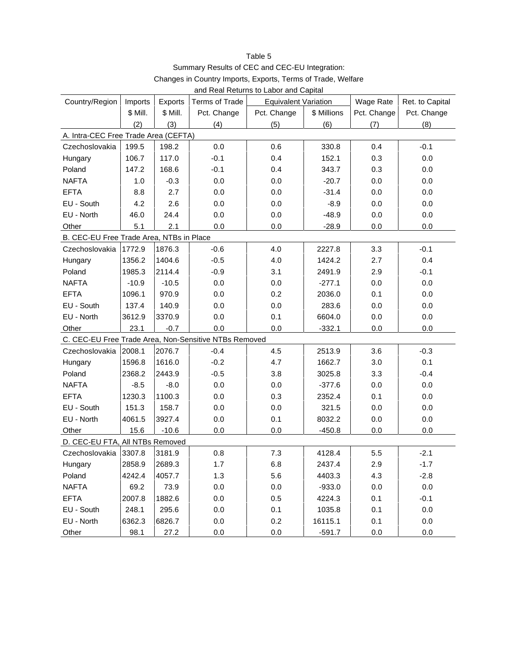|                                          |          |          |                                                       | and Real Returns to Labor and Capital |             |             |                 |
|------------------------------------------|----------|----------|-------------------------------------------------------|---------------------------------------|-------------|-------------|-----------------|
| Country/Region                           | Imports  | Exports  | Terms of Trade                                        | <b>Equivalent Variation</b>           |             | Wage Rate   | Ret. to Capital |
|                                          | \$ Mill. | \$ Mill. | Pct. Change                                           | Pct. Change                           | \$ Millions | Pct. Change | Pct. Change     |
|                                          | (2)      | (3)      | (4)                                                   | (5)                                   | (6)         | (7)         | (8)             |
| A. Intra-CEC Free Trade Area (CEFTA)     |          |          |                                                       |                                       |             |             |                 |
| Czechoslovakia                           | 199.5    | 198.2    | 0.0                                                   | 0.6                                   | 330.8       | 0.4         | $-0.1$          |
| Hungary                                  | 106.7    | 117.0    | $-0.1$                                                | 0.4                                   | 152.1       | 0.3         | 0.0             |
| Poland                                   | 147.2    | 168.6    | $-0.1$                                                | 0.4                                   | 343.7       | 0.3         | 0.0             |
| <b>NAFTA</b>                             | 1.0      | $-0.3$   | 0.0                                                   | 0.0                                   | $-20.7$     | 0.0         | 0.0             |
| <b>EFTA</b>                              | 8.8      | 2.7      | 0.0                                                   | 0.0                                   | $-31.4$     | 0.0         | 0.0             |
| EU - South                               | 4.2      | 2.6      | 0.0                                                   | 0.0                                   | $-8.9$      | 0.0         | 0.0             |
| EU - North                               | 46.0     | 24.4     | 0.0                                                   | 0.0                                   | $-48.9$     | 0.0         | 0.0             |
| Other                                    | 5.1      | 2.1      | 0.0                                                   | 0.0                                   | $-28.9$     | 0.0         | 0.0             |
| B. CEC-EU Free Trade Area, NTBs in Place |          |          |                                                       |                                       |             |             |                 |
| Czechoslovakia                           | 1772.9   | 1876.3   | $-0.6$                                                | 4.0                                   | 2227.8      | 3.3         | $-0.1$          |
| Hungary                                  | 1356.2   | 1404.6   | $-0.5$                                                | 4.0                                   | 1424.2      | 2.7         | 0.4             |
| Poland                                   | 1985.3   | 2114.4   | $-0.9$                                                | 3.1                                   | 2491.9      | 2.9         | $-0.1$          |
| <b>NAFTA</b>                             | $-10.9$  | $-10.5$  | $0.0\,$                                               | 0.0                                   | $-277.1$    | 0.0         | 0.0             |
| <b>EFTA</b>                              | 1096.1   | 970.9    | 0.0                                                   | 0.2                                   | 2036.0      | 0.1         | 0.0             |
| EU - South                               | 137.4    | 140.9    | 0.0                                                   | 0.0                                   | 283.6       | 0.0         | 0.0             |
| EU - North                               | 3612.9   | 3370.9   | 0.0                                                   | 0.1                                   | 6604.0      | 0.0         | 0.0             |
| Other                                    | 23.1     | $-0.7$   | 0.0                                                   | 0.0                                   | $-332.1$    | 0.0         | 0.0             |
|                                          |          |          | C. CEC-EU Free Trade Area, Non-Sensitive NTBs Removed |                                       |             |             |                 |
| Czechoslovakia                           | 2008.1   | 2076.7   | $-0.4$                                                | 4.5                                   | 2513.9      | 3.6         | $-0.3$          |
| Hungary                                  | 1596.8   | 1616.0   | $-0.2$                                                | 4.7                                   | 1662.7      | 3.0         | 0.1             |
| Poland                                   | 2368.2   | 2443.9   | $-0.5$                                                | 3.8                                   | 3025.8      | 3.3         | $-0.4$          |
| <b>NAFTA</b>                             | $-8.5$   | $-8.0$   | 0.0                                                   | 0.0                                   | $-377.6$    | 0.0         | 0.0             |
| <b>EFTA</b>                              | 1230.3   | 1100.3   | 0.0                                                   | 0.3                                   | 2352.4      | 0.1         | 0.0             |
| EU - South                               | 151.3    | 158.7    | 0.0                                                   | 0.0                                   | 321.5       | 0.0         | 0.0             |
| EU - North                               | 4061.5   | 3927.4   | 0.0                                                   | 0.1                                   | 8032.2      | 0.0         | 0.0             |
| Other                                    | 15.6     | $-10.6$  | 0.0                                                   | 0.0                                   | $-450.8$    | 0.0         | 0.0             |
| D. CEC-EU FTA, All NTBs Removed          |          |          |                                                       |                                       |             |             |                 |
| Czechoslovakia                           | 3307.8   | 3181.9   | 0.8                                                   | 7.3                                   | 4128.4      | 5.5         | $-2.1$          |
| Hungary                                  | 2858.9   | 2689.3   | $1.7$                                                 | 6.8                                   | 2437.4      | 2.9         | $-1.7$          |
| Poland                                   | 4242.4   | 4057.7   | 1.3                                                   | 5.6                                   | 4403.3      | 4.3         | $-2.8$          |
| <b>NAFTA</b>                             | 69.2     | 73.9     | 0.0                                                   | 0.0                                   | $-933.0$    | 0.0         | 0.0             |
| <b>EFTA</b>                              | 2007.8   | 1882.6   | 0.0                                                   | 0.5                                   | 4224.3      | 0.1         | $-0.1$          |
| EU - South                               | 248.1    | 295.6    | 0.0                                                   | 0.1                                   | 1035.8      | 0.1         | 0.0             |
| EU - North                               | 6362.3   | 6826.7   | 0.0                                                   | 0.2                                   | 16115.1     | 0.1         | 0.0             |
| Other                                    | 98.1     | 27.2     | 0.0                                                   | 0.0                                   | $-591.7$    | 0.0         | 0.0             |

| Table 5                                                      |
|--------------------------------------------------------------|
| Summary Results of CEC and CEC-EU Integration:               |
| Changes in Country Imports, Exports, Terms of Trade, Welfare |
|                                                              |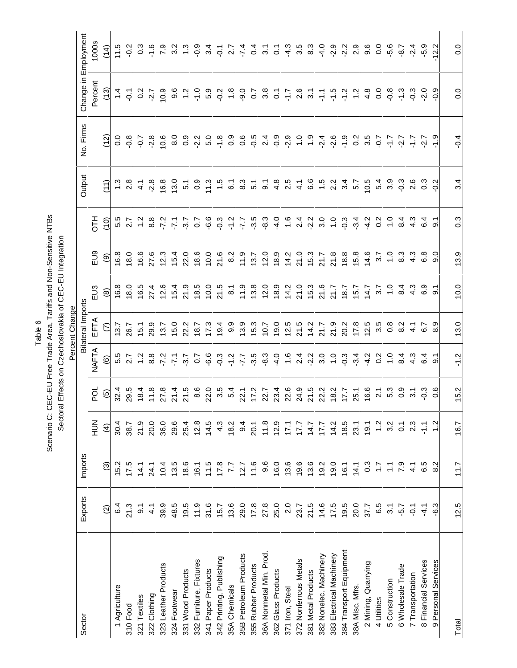Scenario C: CEC-EU Free Trade Area, Tariffs and Non-Sensitive NTBs<br>Sectoral Effects on Czechoslovakia of CEC-EU Integration Scenario C: CEC-EU Free Trade Area, Tariffs and Non-Sensitive NTBs

| Integration                           |                         |
|---------------------------------------|-------------------------|
|                                       |                         |
| Effects on Czechoslovakia of CEC-EU I | aroont Ohanno<br>י<br>. |
|                                       | こうり                     |
|                                       |                         |
| こうじりつ<br><b>Cartney</b>               |                         |

| Sector                   | Exports            | Imports       |                |                                                             |                                    | Bilateral Imports                  |                                                                |                                                     |                                        | Output                                                                       | No. Firms                                 | Change in Employment        |               |
|--------------------------|--------------------|---------------|----------------|-------------------------------------------------------------|------------------------------------|------------------------------------|----------------------------------------------------------------|-----------------------------------------------------|----------------------------------------|------------------------------------------------------------------------------|-------------------------------------------|-----------------------------|---------------|
|                          |                    |               | $\frac{2}{1}$  | ā                                                           | ⋖<br>NAFT.                         | EFTA                               | EU3                                                            | ena                                                 | 품                                      |                                                                              |                                           | Percent                     | 1000s         |
|                          | $\widehat{\omega}$ | ල             | $\widehat{f}$  | $\overline{5}$                                              | $\circlede$                        | E                                  | $\circledR$                                                    | $\circledcirc$                                      | $\overline{5}$                         | (11)                                                                         | (12)                                      | (13)                        | (14)          |
| 1 Agriculture            | 6.4                | 15.2          | 30.4           |                                                             |                                    | 13.7                               |                                                                |                                                     |                                        |                                                                              |                                           |                             | 11.5          |
| 310 Food                 | 21.3               | 17.5          | 38.7           | $32.4$<br>$29.5$                                            |                                    | 26.7                               |                                                                | $16.8$<br>$18.0$                                    |                                        |                                                                              |                                           |                             | ς.<br>Ρ       |
| 321 Textiles             | $\overline{9}$ . 1 | 14.1          | 21.9           | 18.4                                                        |                                    | 15.1                               |                                                                | 16.6                                                |                                        |                                                                              |                                           |                             |               |
| 322 Clothing             | 41                 | 24.1          | 20.0           |                                                             |                                    | 29.9                               | $16.8$<br>$16.5$<br>$27.4$                                     |                                                     |                                        |                                                                              |                                           |                             |               |
| 323 Leather Products     | 39.9               | 10.4          | 36.0           |                                                             |                                    |                                    |                                                                |                                                     |                                        |                                                                              | 0 8 7 8 9<br>0 9 7 8 9<br>0 9 7 8 9       |                             |               |
| 324 Footwear             | 48.5               | 13.5          | 29.6           | $78845$<br>$2745$                                           | n v i s v i i v<br>n v i s v i i v | $13.7$<br>$15.0$<br>$22.2$         |                                                                | 27.6<br>12.3<br>15.4<br>22.0                        |                                        |                                                                              | $\frac{0}{\infty}$                        |                             |               |
| 331 Wood Products        | 19.5               | 18.6          | 25.4           |                                                             |                                    |                                    |                                                                |                                                     |                                        |                                                                              |                                           |                             |               |
| 332 Furniture, Fixtures  | 11.9               | 16.1          | 12.8           |                                                             |                                    | $75.7$<br>$75.7$<br>$9.3$<br>$9.3$ | $12.6$<br>$15.4$ $9.5$<br>$15.5$<br>$15.5$<br>$15.5$<br>$15.5$ |                                                     |                                        | っとはこれはほけいけいほうはいかいかいこうはいいかいかい。それはこのことは、それはこのことは、それはこれは、それはこれはこのから、これはほけいないのか。 |                                           |                             |               |
| Paper Products<br>341    | 31.6               | 11.5          | 14.5           | $8.6$<br>22.0                                               | င် ဗို ဗို                         |                                    |                                                                | $\begin{array}{c} 18.6 \\ 10.0 \\ 21.6 \end{array}$ |                                        |                                                                              |                                           |                             |               |
| 342 Printing, Publishing | 15.7               | 17.8          | $\frac{3}{4}$  |                                                             |                                    |                                    |                                                                |                                                     |                                        |                                                                              |                                           |                             |               |
| 35A Chemicals            | 13.6               | 7.7           | 18.2           |                                                             | $-1.7$                             |                                    |                                                                |                                                     |                                        |                                                                              |                                           |                             |               |
| 35B Petroleum Products   | 29.0               | 12.7          | 9.4            |                                                             |                                    | 13.9                               |                                                                |                                                     |                                        |                                                                              |                                           |                             |               |
| 355 Rubber Products      | 17.8               | 11.6          | 20.1           | 5<br>5 5 7 5 9 5 4 6 9 5 6 7 6 7<br>5 7 6 7 8 7 8 7 7 8 9 7 |                                    | $15.3$<br>$19.0$<br>$12.5$         |                                                                |                                                     |                                        |                                                                              |                                           |                             |               |
| 36A Nonmetal Min. Prod.  | 27.8               | 9.6           | 11.8           |                                                             |                                    |                                    |                                                                |                                                     |                                        |                                                                              |                                           |                             |               |
| 362 Glass Products       | 25.0               | 16.0          | 12.9           |                                                             |                                    |                                    |                                                                |                                                     |                                        |                                                                              |                                           |                             |               |
| 371 Iron, Steel          | 2.0                | 13.6          | 17.1           |                                                             |                                    |                                    |                                                                |                                                     |                                        |                                                                              |                                           |                             |               |
| 372 Nonferrous Metals    | 23.7               | 19.6          | 17.7           |                                                             |                                    | 21.5                               |                                                                |                                                     |                                        |                                                                              |                                           |                             |               |
| 381 Metal Products       | 21.5               | 13.6          | 14.7           |                                                             |                                    | 14.2                               |                                                                |                                                     |                                        |                                                                              | ္                                         |                             |               |
| 382 Nonelec. Machinery   | 14.6               | 19.2          | 17.7           |                                                             |                                    |                                    |                                                                |                                                     |                                        |                                                                              |                                           |                             |               |
| 383 Electrical Machinery | 17.5               | 19.0          | 14.2           |                                                             |                                    | 21.9<br>21.9<br>20.2               |                                                                | 21.8                                                |                                        |                                                                              | $24$ 6 9 9 $-1$                           |                             |               |
| 384 Transport Equipment  | 19.5               | 16.1          | 18.5           |                                                             |                                    |                                    | 18.7                                                           | 18.8                                                |                                        |                                                                              |                                           |                             |               |
| 38A Misc. Mfrs.          | 20.0               | 14.1          | 23.1           | 25.1<br>16.6                                                |                                    | $7.8$<br>$7.5$<br>$3.5$            |                                                                | 15.8                                                |                                        |                                                                              |                                           |                             | $\frac{0}{2}$ |
| 2 Mining, Quarrying      | 37.7               | $\frac{3}{2}$ | 19.1           |                                                             |                                    |                                    | $15.7$<br>$14.7$<br>$1.7$<br>$1.0$                             | 14.6                                                |                                        |                                                                              |                                           |                             |               |
| 4 Utilities              | 6.5                | $\frac{2}{1}$ | $\frac{1}{2}$  | 21<br>21<br>21<br>20<br>20                                  |                                    |                                    |                                                                | 3.7                                                 |                                        |                                                                              |                                           |                             | ေဝ<br>၁၀၀     |
| 5 Construction           | 3.1                | $\mathbb{Z}$  | 3.2            |                                                             |                                    | $\frac{8}{2}$                      |                                                                |                                                     |                                        |                                                                              |                                           |                             | .<br>م-       |
| 6 Wholesale Trade        | $-5.7$             | 7.9           | $\overline{0}$ |                                                             | 8.4                                | 8.2                                | $\frac{4}{3}$                                                  | 8.3                                                 | $8\cdot\sqrt{4}$                       |                                                                              | 5<br>5 7 7 7 7 7 7 9 7<br>5 7 7 7 7 7 9 7 |                             | $-8.7$        |
| 7 Transportation         | $\overline{Q}$     | 4.1           | 23             | ာ ၁ ၁                                                       | 4 Q<br>4 Q                         | $\frac{4}{6}$ .7                   | က<br>၁၀၀<br>၁၀၀                                                | 4.3                                                 |                                        |                                                                              |                                           |                             | $-2.4$        |
| 8 Financial Services     | $-4.1$             | 6.5           | 두              |                                                             |                                    |                                    |                                                                | 6.8                                                 | $4\begin{array}{c} 4\ 0\ 0\end{array}$ |                                                                              |                                           | <b>ာ</b> လုံ ဝ<br>၁ လုံ ဝုံ | $-5.9$        |
| 9 Personal Services      | 6.3                | 8.2           | $\frac{2}{3}$  | ပ္ခ<br>っ                                                    | ္တြ                                | .<br>8                             | ာ                                                              | တ                                                   |                                        |                                                                              |                                           |                             | $-12.2$       |
|                          |                    |               |                |                                                             |                                    |                                    |                                                                |                                                     |                                        |                                                                              |                                           |                             |               |
| Total                    | 12.5               | 11.7          | 16.7           | 15.2                                                        | $-1.2$                             | 13.0                               | 10.0                                                           | 13.9                                                | $0.\overline{3}$                       | 3.4                                                                          | $-0.4$                                    | 0.0                         | 0.0           |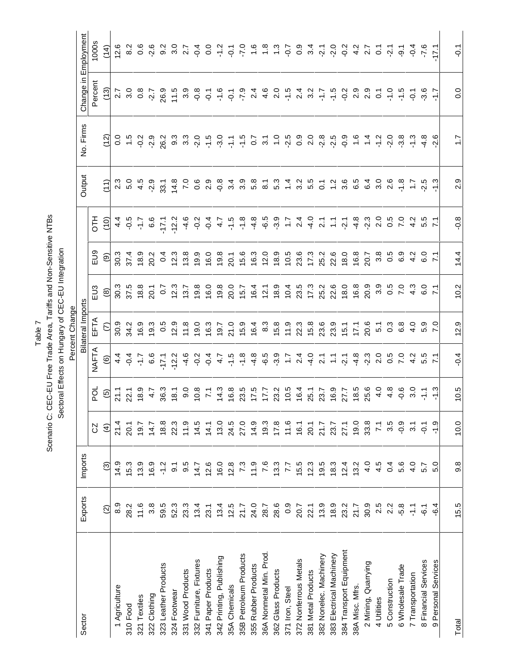Table 7<br>Scenario C: CEC-EU Free Trade Area, Tariffs and Non-Sensitive NTBs<br>Sectoral Effects on Hungary of CEC-EU Integration Scenario C: CEC-EU Free Trade Area, Tariffs and Non-Sensitive NTBs

| I Effects on Hungary of CEC-EU Integration<br>Sectoral | nonco +<br>ر<br>:<br><b>Prcent</b> |
|--------------------------------------------------------|------------------------------------|
|                                                        |                                    |

|                             |               |                         |                  |                  |                                                                                                                                                                                                                   | Percent Change           |                |                   |                      |                        |                  |                      |                                                                                           |
|-----------------------------|---------------|-------------------------|------------------|------------------|-------------------------------------------------------------------------------------------------------------------------------------------------------------------------------------------------------------------|--------------------------|----------------|-------------------|----------------------|------------------------|------------------|----------------------|-------------------------------------------------------------------------------------------|
| Sector                      | Exports       | Imports                 |                  |                  |                                                                                                                                                                                                                   | <b>Bilateral Imports</b> |                |                   |                      | Output                 | No. Firms        | Change in Employment |                                                                                           |
|                             |               |                         | S                | po               | NAFTA                                                                                                                                                                                                             | EFTA                     | EU3            | ena               | H<br>D               |                        |                  | Percent              | 1000s                                                                                     |
|                             | $\widehat{2}$ | $\widehat{\mathcal{E}}$ | $\widehat{H}$    | $\overline{5}$   | $\circlede$                                                                                                                                                                                                       | E                        | $\circledg$    | $\circledcirc$    | $\overline{10}$      | (11)                   | (12)             | (13)                 | (14)                                                                                      |
| 1 Agriculture               | $\frac{8}{3}$ | 14.9                    | 21.4             | 21.1             | $\frac{4}{4}$                                                                                                                                                                                                     | 30.9                     | 30.3           | 30.3              |                      |                        |                  |                      | 12.6                                                                                      |
| 310 Food                    | 28.2          | 15.3                    | 20.1             | 22.1             |                                                                                                                                                                                                                   | 34.2                     | 37.5           | 37.4              | $407$<br>$407$       |                        | 0.5              | $2.7$<br>3.0         |                                                                                           |
| 321 Textiles                | 11.6          | 13.9                    | 19.7             | 18.9             | $-1.7$                                                                                                                                                                                                            | 16.9                     | 18.8           | 18.9              |                      | c c c c c<br>c c c c c | $-0.2$           | $0.8$<br>$-2.7$      | ္က ဖ<br>၁ လ                                                                               |
| 322 Clothing                | 3.8           | 16.9                    | 14.7             | $\ddot{ }$       | 6.6                                                                                                                                                                                                               | 19.3                     | 20.1           | 20.2              | 6.6                  |                        | $-2.9$           |                      |                                                                                           |
| 323 Leather Products        | 59.5          | $\frac{2}{1}$           | 18.8             | 36.3             | $-17.1$                                                                                                                                                                                                           | 0.5                      | $\frac{2}{5}$  | $\overline{0}$ .  | $-17.1$              | 33.1                   | 26.2             | 26.9                 |                                                                                           |
| 324 Footwear                | 52.3          | $\overline{9}$ .        | 22.3             | 18.1             | $-12.2$                                                                                                                                                                                                           | 12.9                     | 12.3           | 12.3              | $-12.2$              | 14.8                   |                  | 11.5                 | 0.<br>0. 0. 0.<br>0. 0. 0.                                                                |
| 331 Wood Products           | 23.3          | 9.5                     | 11.9             | ္ပဲ              | $-4.6$                                                                                                                                                                                                            | 11.8                     | 13.7           | 13.8              | $-4.6$               | $\overline{2}$         | က္က ၀<br>တက်လု   | 3.9                  |                                                                                           |
| 332 Furniture, Fixtures     | 13.4          | 14.7                    | 14.5             | 10.8             | $-0.2$                                                                                                                                                                                                            | 19.0                     | 19.8           | 19.9              | $\frac{2}{1}$        |                        |                  | $-0.8$               |                                                                                           |
| 341 Paper Products          | 23.1          | 12.6                    | 14.1             | $\mathbb{Z}$     | $-0.4$                                                                                                                                                                                                            | 16.3                     | 16.0           | 16.0              | $-0.4$               | 0.0<br>0.21            |                  |                      | <b>A O U L O G B W L O W U U O W U U O W U U O W</b><br>A O U L O G B W U L Q Q W U U O W |
| Printing, Publishing<br>342 | 13.4          | 16.0                    | 13.0             | 14.3             | 4.7                                                                                                                                                                                                               | 19.7                     | 19.8           | 19.8              |                      | $-0.8$                 |                  |                      |                                                                                           |
| 35A Chemicals               | 12.5          | 12.8                    | 24.5             | 16.8             | $-1.5$                                                                                                                                                                                                            | 21.0                     | 20.0           | 20.1              | $4.7$ $-5.8$         | $\frac{34}{ }$         |                  |                      |                                                                                           |
| Petroleum Products<br>35B   | 21.7          | 7.3                     | 27.0             | 23.5             | $-1.8$                                                                                                                                                                                                            | 15.9                     | 15.7           | 15.6              |                      | 3.9                    |                  |                      |                                                                                           |
| 355 Rubber Products         | 24.0          | 11.9                    | 14.9             | 17.5             | $-4.8$                                                                                                                                                                                                            | 16.4                     | 16.4           | 16.3              | $-4.8$               | 5.3<br>8.1             |                  |                      |                                                                                           |
| 36A Nonmetal Min. Prod.     | 28.7          | 7.6                     | 19.3             | 17.7             |                                                                                                                                                                                                                   | 8.3                      | 12.1           | 12.0              | -6.5                 |                        |                  |                      |                                                                                           |
| 362 Glass Products          | 28.6          | 13.3                    | 17.8             | 23.2             | $\ddot{\phi}$ $\ddot{\phi}$ $\ddot{\phi}$ $\ddot{\phi}$ $\ddot{\phi}$ $\ddot{\phi}$ $\ddot{\phi}$ $\ddot{\phi}$ $\ddot{\phi}$ $\ddot{\phi}$ $\ddot{\phi}$ $\ddot{\phi}$ $\ddot{\phi}$ $\ddot{\phi}$ $\ddot{\phi}$ | 15.8                     | 18.9           | 18.9              |                      | 204                    |                  |                      |                                                                                           |
| 371 Iron, Steel             | 0.9           | 7.7                     | 11.6             | 10.5             |                                                                                                                                                                                                                   | 11.9                     | 10.4           | 10.5              |                      |                        |                  |                      |                                                                                           |
| 372 Nonferrous Metals       | 20.7          | 15.5                    | 16.1             | 16.4             |                                                                                                                                                                                                                   | 22.3                     | 23.5           | 23.6              |                      |                        |                  |                      |                                                                                           |
| 381 Metal Products          | 22.1          | 12.3                    | 20.1             | 25.1             |                                                                                                                                                                                                                   | 15.8                     | 17.3           | 17.3              | $3.7407$<br>$3.7407$ | 3.500                  | 0.0<br>0. N      |                      |                                                                                           |
| 382 Nonelec. Machinery      | 13.9          | 19.5                    | 21.7             | 23.7             |                                                                                                                                                                                                                   | 23.6                     | 25.2           | 25.2              |                      |                        | $-2.8$           |                      |                                                                                           |
| 383 Electrical Machinery    | 18.9          | 18.3                    | 23.7             | 16.9             | $21$ $-2$ $-2$                                                                                                                                                                                                    | 23.9                     | 22.6           | 22.6              | Ξ                    | $\frac{2}{3}$          | $-2.5$           |                      |                                                                                           |
| 384 Transport Equipment     | 23.2          | 12.4                    | 27.1             | 27.7             |                                                                                                                                                                                                                   | 15.1                     | 18.0           | 18.0              | $-21$                | 3.6                    | $-0.9$           | $-0.2$               |                                                                                           |
| 38A Misc. Mfrs.             | 21.7          | 13.2                    | 19.0             | 18.5             | $-4.8$                                                                                                                                                                                                            | 17,1                     | 16.8           | 16.8              | ್ಲ ಇ<br>ನನ           | م.<br>ق                | 1.6              |                      |                                                                                           |
| 2 Mining, Quarrying         | 30.9          | 4.0                     | 33.8             | 25.6             | $-2.3$                                                                                                                                                                                                            | 20.6                     | 20.9           | 20.7              |                      | 6.4                    | $\frac{4}{1}$    |                      |                                                                                           |
| 4 Utilities                 | 2.5           | 4.5                     | $\overline{7.1}$ | 4.0              |                                                                                                                                                                                                                   | 5.1                      | 3.9            | $3.\overline{8}$  | $\frac{0}{2}$        | ດ<br>ຕໍດ               | $\frac{5}{2}$    |                      |                                                                                           |
| 5 Construction              | 2.2           | 0.4                     | 3.5              | $4.\overline{8}$ | $\begin{array}{c} 0.5 \\ 0.5 \end{array}$                                                                                                                                                                         | $\frac{3}{2}$            | $\frac{5}{2}$  | $\frac{5}{2}$     | င်္                  |                        | $-2.0$           | $0.9970$<br>$0.7970$ | $4.2$<br>$2.7$<br>$0.7$<br>$0.7$                                                          |
| 6 Wholesale Trade           | $-5.8$        | 5.6                     | $-0.9$           | $-0.6$           | $\overline{7.0}$                                                                                                                                                                                                  | 6.8                      | $\overline{2}$ | 6.9               | $\overline{7.0}$     | $-1.8$                 | $-3.8$           | $\frac{5}{1}$        | $-9.1$                                                                                    |
| 7 Transportation            | 두             | 4.0                     | 31               | $\frac{0}{3}$    | 4.2                                                                                                                                                                                                               | 4.0                      | ্ৰ<br>4        | 4.2               | ب<br>4               | $\ddot{ }$ :           | م.<br>7-         | $\overline{Q}$       | $\frac{4}{7}$                                                                             |
| 8 Financial Services        | ှင့်          | 5.7                     | $\overline{O}$ . | $\frac{1}{2}$    | 5.5                                                                                                                                                                                                               | 5.9                      | c.o            | $\overline{6}$ .0 | 5.5                  | $-2.5$                 | $-4.8$           | .<br>3.6             | $-7.6$                                                                                    |
| 9 Personal Services         | $-6.4$        | 5.0                     | ب<br>-1          |                  |                                                                                                                                                                                                                   |                          |                |                   | $\overline{ }$       | 4                      | $-2.6$           | ζĻ                   | 17.1                                                                                      |
| Total                       | 15.5          | $\frac{8}{9}$           | 10.0             | 10.5             | $-0.4$                                                                                                                                                                                                            | 12.9                     | 10.2           | 14.4              | $-0.8$               | 2.9                    | $\overline{1}$ : | $\overline{0}$       | $\overline{Q}$                                                                            |
|                             |               |                         |                  |                  |                                                                                                                                                                                                                   |                          |                |                   |                      |                        |                  |                      |                                                                                           |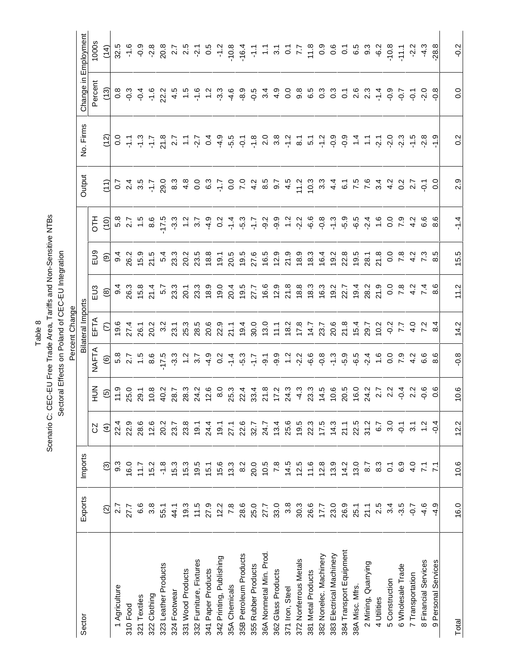Table 8<br>Scenario C: CEC-EU Free Trade Area, Tariffs and Non-Sensitive NTBs<br>Sectoral Effects on Poland of CEC-EU Integration Scenario C: CEC-EU Free Trade Area, Tariffs and Non-Sensitive NTBs

Sectoral Effects on Poland of CEC-EU Integration Percent Change

| Sector                   | Exports          | Imports           |                  |                 |                                           | <b>Bilateral Imports</b> |                     |                  |                    | Output                    | No. Firms                                                                                                                                                                                                                                                                                                                                                                             | Change in Employment                                                                            |                      |
|--------------------------|------------------|-------------------|------------------|-----------------|-------------------------------------------|--------------------------|---------------------|------------------|--------------------|---------------------------|---------------------------------------------------------------------------------------------------------------------------------------------------------------------------------------------------------------------------------------------------------------------------------------------------------------------------------------------------------------------------------------|-------------------------------------------------------------------------------------------------|----------------------|
|                          |                  |                   | S <sub>2</sub>   | $\frac{2}{1}$   | NAFTA                                     | EFTA                     | EU3                 | $\frac{5}{2}$    | H<br>5             |                           |                                                                                                                                                                                                                                                                                                                                                                                       | Percent                                                                                         | 1000s                |
|                          | $\widehat{2}$    | $\odot$           | $\widehat{A}$    | (5)             | $\circledcirc$                            | $\epsilon$               | $\circledR$         | (9)              | (10)               | $\frac{1}{1}$             | (12)                                                                                                                                                                                                                                                                                                                                                                                  | (13)                                                                                            | (14)                 |
| 1 Agriculture            | 2.7              | 9.3               | 22.4             | 11.9            |                                           | 9.6                      | 9.4                 | $9\cdot$         |                    |                           |                                                                                                                                                                                                                                                                                                                                                                                       |                                                                                                 | 32.5                 |
| 310 Food                 | 27.7             | 16.0              | 22.9             | 25.0            | 5.7<br>5.7<br>5.7                         | 27.4                     | 26.3                | 26.2             | 5. 7<br>5. 7       |                           | 0.7                                                                                                                                                                                                                                                                                                                                                                                   | 8<br>0 - 0<br>0 -                                                                               | $-1.6$               |
| 321 Textiles             | 6.6              | 117               | 28.6             | 29.1            |                                           | 26.1                     | 15.8                | 15.9             | $\frac{15}{10}$    |                           | $\frac{3}{1}$                                                                                                                                                                                                                                                                                                                                                                         |                                                                                                 | $\ddot{\circ}$       |
| 322 Clothing             | 3.8              | 15.2              | 12.6             | 10.8            | 8.6                                       | 20.2                     | 21.4                | 21.5             | 8.6                |                           | $\frac{1}{2}$                                                                                                                                                                                                                                                                                                                                                                         | $-1.6$                                                                                          | $-2.8$               |
| 323 Leather Products     | 55.1             | $-1.8$            | 20.2             | 40.2            | $-17.5$                                   | 3.2                      | 5.7                 | 5.4              | $-17.5$            | 29.0                      | 21.8                                                                                                                                                                                                                                                                                                                                                                                  | 22.2                                                                                            |                      |
| 324 Footwear             | 44.1             | 15.3              | 23.7             | 28.7            | $-3.3$                                    | 23.1                     | 23.3                | 23.3             | -3.3               |                           |                                                                                                                                                                                                                                                                                                                                                                                       |                                                                                                 |                      |
| 331 Wood Products        | 19.3             | 15.3              | 23.8             | 28.3            |                                           | 25.3                     | 20.1                | 20.2             |                    |                           |                                                                                                                                                                                                                                                                                                                                                                                       |                                                                                                 |                      |
| 332 Furniture, Fixtures  | 11.5             | 19.5              | 19.1             | 24.2            | $1.2$<br>3.7                              | 28.5                     | 23.3                | 23.5             | $1.2$<br>$3.7$     |                           | $2.7$<br>$1.1$<br>$2.7$                                                                                                                                                                                                                                                                                                                                                               | $4 - 2$<br>$4 - 5$<br>$6 - 2$<br>$7 - 2$                                                        | 20.8<br>20.5<br>20.7 |
| 341 Paper Products       | 27.9             | 15.1              | 24.4             | 12.6            | $-4.9$                                    | 20.6                     | 18.9                | 18.8             | $-4.9$             |                           | $\overline{a}$                                                                                                                                                                                                                                                                                                                                                                        |                                                                                                 |                      |
| 342 Printing, Publishing | 12.2             | 15.6              | 19.1             | $\frac{0}{8}$   | $\frac{2}{3}$                             | 22.9                     | 19.0                | 19.1             | 0.2                |                           | $-4.9$                                                                                                                                                                                                                                                                                                                                                                                | $\ddot{3}$                                                                                      |                      |
| 35A Chemicals            | 7.8              | 13.3              | 27.1             | 25.3            | $\frac{4}{1}$                             | 21.1                     | 20.4                | 20.5             | $\frac{4}{7}$      |                           |                                                                                                                                                                                                                                                                                                                                                                                       | $-4.6$                                                                                          |                      |
| 35B Petroleum Products   | 28.6             | 8.2               | 22.6             | 22.4            | -5.3                                      | 19.4                     | 19.5                | 19.5             |                    |                           | $\begin{array}{cccccccccc} \tau_0 & \tau_1 & \infty & \infty & \infty & \tau_1 \\ \tau_1^2 & \tau_2^2 & \tau_1^2 & \tau_2^2 & \tau_1^2 & \tau_2^2 & \tau_1^2 & \tau_2^2 & \tau_1^2 & \tau_2^2 & \tau_2^2 & \tau_2^2 & \tau_2^2 & \tau_2^2 & \tau_2^2 & \tau_2^2 & \tau_2^2 & \tau_2^2 & \tau_2^2 & \tau_2^2 & \tau_2^2 & \tau_2^2 & \tau_2^2 & \tau_2^2 & \tau_2^2 & \tau_2^2 & \tau$ | စုံ ၁<br>၁                                                                                      |                      |
| 355 Rubber Products      | 25.0             | 20.0              | 32.7             | 33.4            | $\mathcal{L}$                             | 30.0                     | 27.7                | 27.6             |                    |                           |                                                                                                                                                                                                                                                                                                                                                                                       |                                                                                                 |                      |
| 36A Nonmetal Min. Prod.  | 27.7             | 10.5              | 24.7             | 21.8            | $-9.1$                                    | 13.0                     |                     | 16.5             | $3.79$<br>$-9.2$   |                           |                                                                                                                                                                                                                                                                                                                                                                                       | ઝ.<br>જ                                                                                         |                      |
| 362 Glass Products       | 33.0             | 7.8               | 13.4             | 17.2            |                                           | 11.1                     | $16.9$<br>$12.9$    | 12.9             |                    |                           |                                                                                                                                                                                                                                                                                                                                                                                       | 4.9                                                                                             |                      |
| 371 Iron, Steel          | $3.\overline{8}$ | 14.5              | 25.6             | 24.3            | 9. 2. 2.<br>9. 7. 2.                      | 18.2                     | 21.8                | 21.9             | 9 2 2 3<br>9 7 2 9 |                           |                                                                                                                                                                                                                                                                                                                                                                                       |                                                                                                 |                      |
| 372 Nonferrous Metals    | 30.3             | 12.5              | 19.5             | ო.<br>$\dot{4}$ |                                           | 17.8                     | 18.8                | 18.9             |                    |                           |                                                                                                                                                                                                                                                                                                                                                                                       |                                                                                                 |                      |
| 381 Metal Products       | 26.6             | 11.6              | 22.3             | 23.3            | .<br>-6                                   | 14.7                     | 18.3                | 18.3             | ေ၀<br>ပုံ ၁        | $11.2$<br>$10.3$<br>$3.3$ | $3.7$<br>$5.7$ $2.9$<br>$7.9$                                                                                                                                                                                                                                                                                                                                                         | $\begin{array}{ccc} \circ & \circ & \circ & \circ \\ \circ & \circ & \circ & \circ \end{array}$ |                      |
| 382 Nonelec. Machinery   | 17.7             | 12.8              | 17.5             | 14.5            | $-0.8$                                    | 23.7                     |                     | 16.4             |                    |                           |                                                                                                                                                                                                                                                                                                                                                                                       |                                                                                                 |                      |
| 383 Electrical Machinery | 23.0             | 13.9              | 14.3             | 10.6            | $\frac{3}{1}$                             | 20.6                     | $19.2$<br>$22.7$    | 19.2             | $\frac{3}{1}$      | $\frac{4}{4}$             |                                                                                                                                                                                                                                                                                                                                                                                       |                                                                                                 |                      |
| 384 Transport Equipment  | 26.9             | 14.2              | 21.1             | 20.5            | -5.9                                      | 21.8                     |                     | 22.8             | .5.                |                           | °.                                                                                                                                                                                                                                                                                                                                                                                    | $\overline{C}$                                                                                  |                      |
| 38A Misc. Mfrs.          | 25.1             | 13.0              | 22.5             | 16.0            | -6.5                                      | 15.4                     | 19.4                | 19.5             | -6.5               |                           | $\frac{4}{4}$                                                                                                                                                                                                                                                                                                                                                                         | 2.3<br>2.3                                                                                      |                      |
| 2 Mining, Quarrying      | 21.1             | 8.7               | 31.2             | 24.2            | $-2.4$                                    | 29.7                     | 28.2                | 28.1             | $-24$              | 6 7 7 9 4 7<br>0 7 7 9 4  | $\ddot{z}$                                                                                                                                                                                                                                                                                                                                                                            |                                                                                                 |                      |
| 4 Utilities              | 2.5              | $8.\overline{3}$  | 6.7              |                 | $\begin{array}{c} 0.6 \\ 0.0 \end{array}$ | 10.2                     | 21.9                | 21.8             | $\frac{6}{10}$ 0.  |                           |                                                                                                                                                                                                                                                                                                                                                                                       |                                                                                                 |                      |
| 5 Construction           | 3.4              | $\overline{0}$ .1 | 3.0              | 2.7<br>2.2      |                                           | $-0.2$                   | 0.0                 | $\frac{0}{2}$    |                    |                           | $-2.0$                                                                                                                                                                                                                                                                                                                                                                                | 7.9                                                                                             |                      |
| 6 Wholesale Trade        | $-3.5$           | 6.9               | $\overline{Q}$   | $\frac{4}{5}$   | <b>P.S</b>                                | 7.7                      |                     | $\overline{7.8}$ | $\frac{6}{2}$      | 3.<br>0.2                 | ್ಷೆ                                                                                                                                                                                                                                                                                                                                                                                   | $-0.7$                                                                                          |                      |
| 7 Transportation         | $-0.7$           | 4.0               | $\overline{3}$ . | $\frac{2}{3}$   | 4.2                                       | 4.0                      | $\frac{2}{4}$       | $\frac{2}{4}$    | $\frac{2}{4}$      | $\overline{2.7}$          | $-1.5$                                                                                                                                                                                                                                                                                                                                                                                | $\overline{Q}$                                                                                  | $-2.2$               |
| 8 Financial Services     | $-4.6$           | $\overline{71}$   | $\frac{2}{1}$    | $\frac{6}{7}$   | <u>ی</u><br>6                             |                          |                     |                  | <u>ی</u><br>ف      | $\overline{Q}$ .          | $28$<br>$-1$<br>$-1$                                                                                                                                                                                                                                                                                                                                                                  | 0, 8                                                                                            | $-4.3$               |
| 9 Personal Services      | $-4.9$           | $\overline{2}$    | $-0.4$           | $\circ$         | ထံ                                        |                          | 8.6                 | $\infty$         | $\frac{6}{8}$      | °°                        |                                                                                                                                                                                                                                                                                                                                                                                       |                                                                                                 | 28.8                 |
| Total                    | 16.0             | 10.6              | 12.2             | 10.6            | $-0.8$                                    | 14.2                     | Ņ<br>$\overline{1}$ | τó<br>15.        | $\frac{4}{7}$      | 2.9                       | 0.2                                                                                                                                                                                                                                                                                                                                                                                   | $\overline{0}$                                                                                  | $-0.2$               |
|                          |                  |                   |                  |                 |                                           |                          |                     |                  |                    |                           |                                                                                                                                                                                                                                                                                                                                                                                       |                                                                                                 |                      |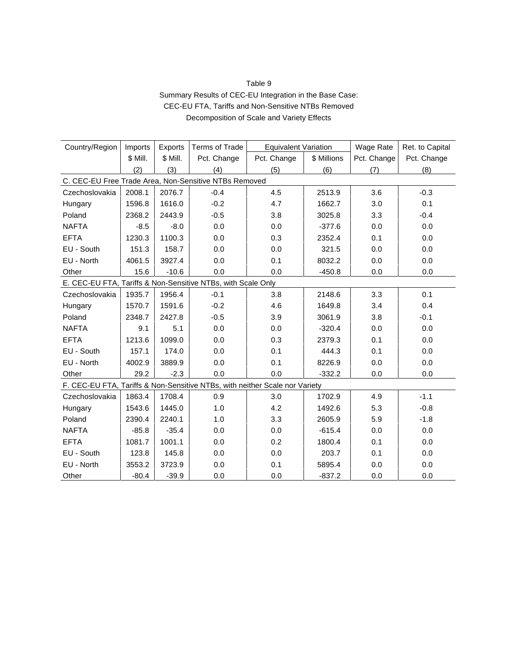# Summary Results of CEC-EU Integration in the Base Case: CEC-EU FTA, Tariffs and Non-Sensitive NTBs Removed Decomposition of Scale and Variety Effects

| Country/Region                                                              | Imports  | Exports  | Terms of Trade | <b>Equivalent Variation</b> |             | <b>Wage Rate</b> | Ret. to Capital |
|-----------------------------------------------------------------------------|----------|----------|----------------|-----------------------------|-------------|------------------|-----------------|
|                                                                             | \$ Mill. | \$ Mill. | Pct. Change    | Pct. Change                 | \$ Millions | Pct. Change      | Pct. Change     |
|                                                                             | (2)      | (3)      | (4)            | (5)                         | (6)         | (7)              | (8)             |
| C. CEC-EU Free Trade Area, Non-Sensitive NTBs Removed                       |          |          |                |                             |             |                  |                 |
| Czechoslovakia                                                              | 2008.1   | 2076.7   | $-0.4$         | 4.5                         | 2513.9      | 3.6              | $-0.3$          |
| Hungary                                                                     | 1596.8   | 1616.0   | $-0.2$         | 4.7                         | 1662.7      | 3.0              | 0.1             |
| Poland                                                                      | 2368.2   | 2443.9   | $-0.5$         | 3.8                         | 3025.8      | 3.3              | $-0.4$          |
| <b>NAFTA</b>                                                                | $-8.5$   | $-8.0$   | 0.0            | 0.0                         | $-377.6$    | 0.0              | 0.0             |
| <b>EFTA</b>                                                                 | 1230.3   | 1100.3   | 0.0            | 0.3                         | 2352.4      | 0.1              | 0.0             |
| EU - South                                                                  | 151.3    | 158.7    | 0.0            | 0.0                         | 321.5       | 0.0              | 0.0             |
| EU - North                                                                  | 4061.5   | 3927.4   | 0.0            | 0.1                         | 8032.2      | 0.0              | 0.0             |
| Other                                                                       | 15.6     | $-10.6$  | 0.0            | 0.0                         | $-450.8$    | 0.0              | 0.0             |
| E. CEC-EU FTA, Tariffs & Non-Sensitive NTBs, with Scale Only                |          |          |                |                             |             |                  |                 |
| Czechoslovakia                                                              | 1935.7   | 1956.4   | $-0.1$         | 3.8                         | 2148.6      | 3.3              | 0.1             |
| Hungary                                                                     | 1570.7   | 1591.6   | $-0.2$         | 4.6                         | 1649.8      | 3.4              | 0.4             |
| Poland                                                                      | 2348.7   | 2427.8   | $-0.5$         | 3.9                         | 3061.9      | 3.8              | $-0.1$          |
| <b>NAFTA</b>                                                                | 9.1      | 5.1      | 0.0            | 0.0                         | $-320.4$    | 0.0              | 0.0             |
| <b>EFTA</b>                                                                 | 1213.6   | 1099.0   | 0.0            | 0.3                         | 2379.3      | 0.1              | 0.0             |
| EU - South                                                                  | 157.1    | 174.0    | 0.0            | 0.1                         | 444.3       | 0.1              | 0.0             |
| EU - North                                                                  | 4002.9   | 3889.9   | 0.0            | 0.1                         | 8226.9      | 0.0              | 0.0             |
| Other                                                                       | 29.2     | $-2.3$   | 0.0            | 0.0                         | $-332.2$    | 0.0              | 0.0             |
| F. CEC-EU FTA, Tariffs & Non-Sensitive NTBs, with neither Scale nor Variety |          |          |                |                             |             |                  |                 |
| Czechoslovakia                                                              | 1863.4   | 1708.4   | 0.9            | 3.0                         | 1702.9      | 4.9              | $-1.1$          |
| Hungary                                                                     | 1543.6   | 1445.0   | 1.0            | 4.2                         | 1492.6      | 5.3              | $-0.8$          |
| Poland                                                                      | 2390.4   | 2240.1   | 1.0            | 3.3                         | 2605.9      | 5.9              | $-1.8$          |
| <b>NAFTA</b>                                                                | $-85.8$  | $-35.4$  | 0.0            | 0.0                         | $-615.4$    | 0.0              | 0.0             |
| <b>EFTA</b>                                                                 | 1081.7   | 1001.1   | 0.0            | 0.2                         | 1800.4      | 0.1              | 0.0             |
| EU - South                                                                  | 123.8    | 145.8    | 0.0            | 0.0                         | 203.7       | 0.1              | 0.0             |
| EU - North                                                                  | 3553.2   | 3723.9   | 0.0            | 0.1                         | 5895.4      | 0.0              | 0.0             |
| Other                                                                       | $-80.4$  | $-39.9$  | 0.0            | 0.0                         | $-837.2$    | 0.0              | 0.0             |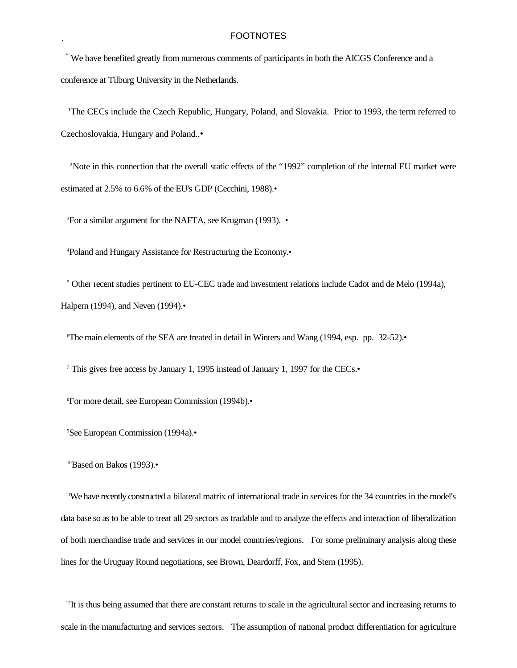#### FOOTNOTES

 We have benefited greatly from numerous comments of participants in both the AICGS Conference and a \* conference at Tilburg University in the Netherlands.

<sup>1</sup>The CECs include the Czech Republic, Hungary, Poland, and Slovakia. Prior to 1993, the term referred to Czechoslovakia, Hungary and Poland..•

<sup>2</sup>Note in this connection that the overall static effects of the "1992" completion of the internal EU market were estimated at 2.5% to 6.6% of the EU's GDP (Cecchini, 1988).•

 ${}^{3}$ For a similar argument for the NAFTA, see Krugman (1993).  $\bullet$ 

Poland and Hungary Assistance for Restructuring the Economy.• 4

<sup>5</sup> Other recent studies pertinent to EU-CEC trade and investment relations include Cadot and de Melo (1994a), Halpern (1994), and Neven (1994).•

The main elements of the SEA are treated in detail in Winters and Wang  $(1994, \text{esp. pp. } 32-52)$ .

<sup>7</sup> This gives free access by January 1, 1995 instead of January 1, 1997 for the CECs.

For more detail, see European Commission (1994b).• 8

See European Commission (1994a).• 9

 $^{10}$ Based on Bakos (1993).•

•

<sup>11</sup>We have recently constructed a bilateral matrix of international trade in services for the 34 countries in the model's data base so as to be able to treat all 29 sectors as tradable and to analyze the effects and interaction of liberalization of both merchandise trade and services in our model countries/regions. For some preliminary analysis along these lines for the Uruguay Round negotiations, see Brown, Deardorff, Fox, and Stern (1995).

 $12$ It is thus being assumed that there are constant returns to scale in the agricultural sector and increasing returns to scale in the manufacturing and services sectors. The assumption of national product differentiation for agriculture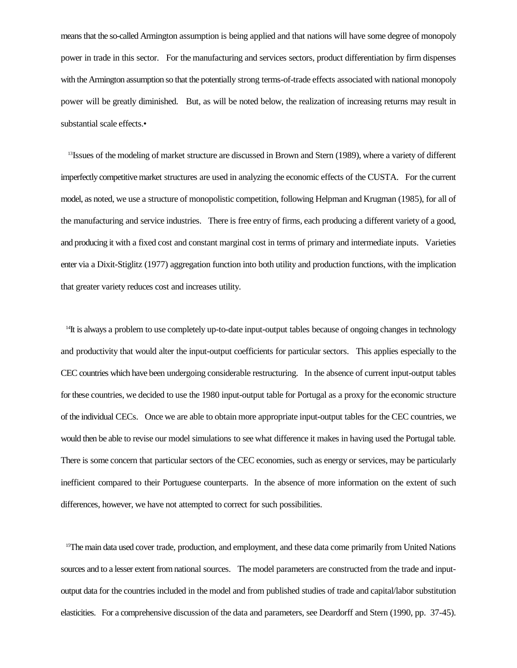means that the so-called Armington assumption is being applied and that nations will have some degree of monopoly power in trade in this sector. For the manufacturing and services sectors, product differentiation by firm dispenses with the Armington assumption so that the potentially strong terms-of-trade effects associated with national monopoly power will be greatly diminished. But, as will be noted below, the realization of increasing returns may result in substantial scale effects.•

 $13$  Issues of the modeling of market structure are discussed in Brown and Stern (1989), where a variety of different imperfectly competitive market structures are used in analyzing the economic effects of the CUSTA. For the current model, as noted, we use a structure of monopolistic competition, following Helpman and Krugman (1985), for all of the manufacturing and service industries. There is free entry of firms, each producing a different variety of a good, and producing it with a fixed cost and constant marginal cost in terms of primary and intermediate inputs. Varieties enter via a Dixit-Stiglitz (1977) aggregation function into both utility and production functions, with the implication that greater variety reduces cost and increases utility.

 $14$ It is always a problem to use completely up-to-date input-output tables because of ongoing changes in technology and productivity that would alter the input-output coefficients for particular sectors. This applies especially to the CEC countries which have been undergoing considerable restructuring. In the absence of current input-output tables for these countries, we decided to use the 1980 input-output table for Portugal as a proxy for the economic structure of the individual CECs. Once we are able to obtain more appropriate input-output tables for the CEC countries, we would then be able to revise our model simulations to see what difference it makes in having used the Portugal table. There is some concern that particular sectors of the CEC economies, such as energy or services, may be particularly inefficient compared to their Portuguese counterparts. In the absence of more information on the extent of such differences, however, we have not attempted to correct for such possibilities.

<sup>15</sup>The main data used cover trade, production, and employment, and these data come primarily from United Nations sources and to a lesser extent from national sources. The model parameters are constructed from the trade and inputoutput data for the countries included in the model and from published studies of trade and capital/labor substitution elasticities. For a comprehensive discussion of the data and parameters, see Deardorff and Stern (1990, pp. 37-45).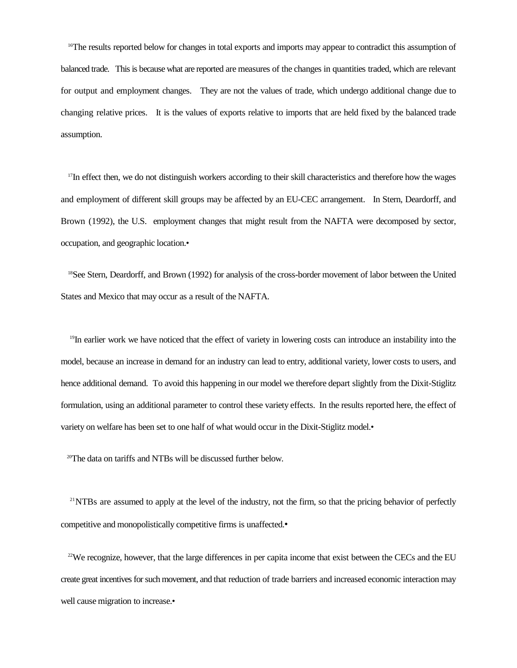<sup>16</sup>The results reported below for changes in total exports and imports may appear to contradict this assumption of balanced trade. This is because what are reported are measures of the changes in quantities traded, which are relevant for output and employment changes. They are not the values of trade, which undergo additional change due to changing relative prices. It is the values of exports relative to imports that are held fixed by the balanced trade assumption.

 $<sup>17</sup>$ In effect then, we do not distinguish workers according to their skill characteristics and therefore how the wages</sup> and employment of different skill groups may be affected by an EU-CEC arrangement. In Stern, Deardorff, and Brown (1992), the U.S. employment changes that might result from the NAFTA were decomposed by sector, occupation, and geographic location.•

 $18$ See Stern, Deardorff, and Brown (1992) for analysis of the cross-border movement of labor between the United States and Mexico that may occur as a result of the NAFTA.

 $19$ In earlier work we have noticed that the effect of variety in lowering costs can introduce an instability into the model, because an increase in demand for an industry can lead to entry, additional variety, lower costs to users, and hence additional demand. To avoid this happening in our model we therefore depart slightly from the Dixit-Stiglitz formulation, using an additional parameter to control these variety effects. In the results reported here, the effect of variety on welfare has been set to one half of what would occur in the Dixit-Stiglitz model.

<sup>20</sup>The data on tariffs and NTBs will be discussed further below.

 $^{21}$ NTBs are assumed to apply at the level of the industry, not the firm, so that the pricing behavior of perfectly competitive and monopolistically competitive firms is unaffected.•

<sup>22</sup>We recognize, however, that the large differences in per capita income that exist between the CECs and the EU create great incentives for such movement, and that reduction of trade barriers and increased economic interaction may well cause migration to increase.•